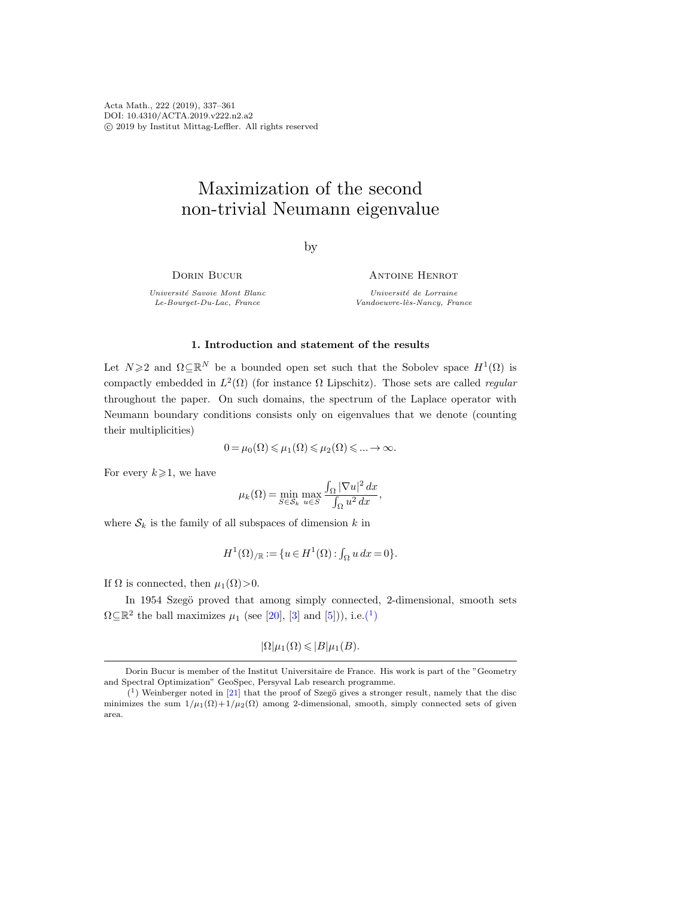Acta Math., 222 (2019), 337–361 DOI: 10.4310/ACTA.2019.v222.n2.a2 c 2019 by Institut Mittag-Leffler. All rights reserved

# Maximization of the second non-trivial Neumann eigenvalue

by

Dorin Bucur

Universit´e Savoie Mont Blanc Le-Bourget-Du-Lac, France

Antoine Henrot

Université de Lorraine Vandoeuvre-lès-Nancy, France

## 1. Introduction and statement of the results

Let  $N \geq 2$  and  $\Omega \subseteq \mathbb{R}^N$  be a bounded open set such that the Sobolev space  $H^1(\Omega)$  is compactly embedded in  $L^2(\Omega)$  (for instance  $\Omega$  Lipschitz). Those sets are called *regular* throughout the paper. On such domains, the spectrum of the Laplace operator with Neumann boundary conditions consists only on eigenvalues that we denote (counting their multiplicities)

$$
0 = \mu_0(\Omega) \leq \mu_1(\Omega) \leq \mu_2(\Omega) \leq \dots \to \infty.
$$

For every  $k\geqslant 1$ , we have

$$
\mu_k(\Omega) = \min_{S \in \mathcal{S}_k} \max_{u \in S} \frac{\int_{\Omega} |\nabla u|^2 dx}{\int_{\Omega} u^2 dx},
$$

where  $S_k$  is the family of all subspaces of dimension k in

$$
H^{1}(\Omega)_{/\mathbb{R}} := \{ u \in H^{1}(\Omega) : \int_{\Omega} u \, dx = 0 \}.
$$

If  $\Omega$  is connected, then  $\mu_1(\Omega) > 0$ .

In 1954 Szegö proved that among simply connected, 2-dimensional, smooth sets  $\Omega \subseteq \mathbb{R}^2$  the ball maximizes  $\mu_1$  (see [\[20\]](#page-24-0), [\[3\]](#page-23-0) and [\[5\]](#page-24-1))), i.e[.\(](#page-0-0)<sup>1</sup>)

 $|\Omega|\mu_1(\Omega) \leqslant |B|\mu_1(B).$ 

Dorin Bucur is member of the Institut Universitaire de France. His work is part of the "Geometry and Spectral Optimization" GeoSpec, Persyval Lab research programme.

<span id="page-0-0"></span> $(1)$  Weinberger noted in [\[21\]](#page-24-2) that the proof of Szegö gives a stronger result, namely that the disc minimizes the sum  $1/\mu_1(\Omega)+1/\mu_2(\Omega)$  among 2-dimensional, smooth, simply connected sets of given area.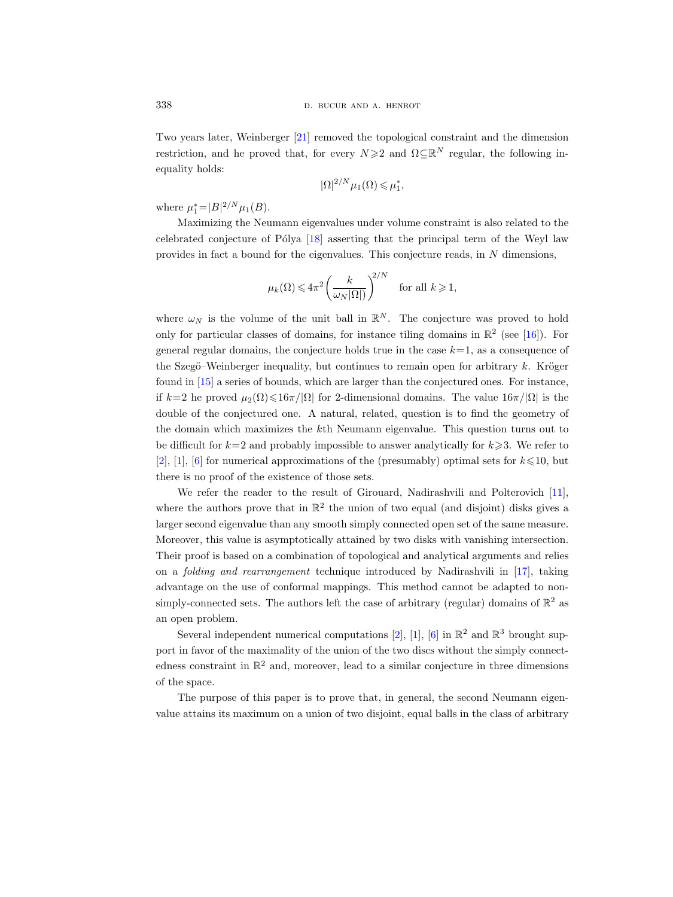Two years later, Weinberger [\[21\]](#page-24-2) removed the topological constraint and the dimension restriction, and he proved that, for every  $N \geq 2$  and  $\Omega \subseteq \mathbb{R}^N$  regular, the following inequality holds:

$$
|\Omega|^{2/N} \mu_1(\Omega) \leq \mu_1^*
$$

,

where  $\mu_1^* = |B|^{2/N} \mu_1(B)$ .

Maximizing the Neumann eigenvalues under volume constraint is also related to the celebrated conjecture of Pólya  $[18]$  asserting that the principal term of the Weyl law provides in fact a bound for the eigenvalues. This conjecture reads, in N dimensions,

$$
\mu_k(\Omega) \leqslant 4\pi^2 \bigg( \frac{k}{\omega_N |\Omega|)} \bigg)^{\!\!\!2/N} \quad \text{for all } k \geqslant 1,
$$

where  $\omega_N$  is the volume of the unit ball in  $\mathbb{R}^N$ . The conjecture was proved to hold only for particular classes of domains, for instance tiling domains in  $\mathbb{R}^2$  (see [\[16\]](#page-24-4)). For general regular domains, the conjecture holds true in the case  $k=1$ , as a consequence of the Szegö–Weinberger inequality, but continues to remain open for arbitrary  $k$ . Kröger found in [\[15\]](#page-24-5) a series of bounds, which are larger than the conjectured ones. For instance, if  $k=2$  he proved  $\mu_2(\Omega)\leq 16\pi/|\Omega|$  for 2-dimensional domains. The value  $16\pi/|\Omega|$  is the double of the conjectured one. A natural, related, question is to find the geometry of the domain which maximizes the kth Neumann eigenvalue. This question turns out to be difficult for  $k=2$  and probably impossible to answer analytically for  $k\geqslant3$ . We refer to [\[2\]](#page-23-1), [\[1\]](#page-23-2), [\[6\]](#page-24-6) for numerical approximations of the (presumably) optimal sets for  $k \leq 10$ , but there is no proof of the existence of those sets.

We refer the reader to the result of Girouard, Nadirashvili and Polterovich [\[11\]](#page-24-7), where the authors prove that in  $\mathbb{R}^2$  the union of two equal (and disjoint) disks gives a larger second eigenvalue than any smooth simply connected open set of the same measure. Moreover, this value is asymptotically attained by two disks with vanishing intersection. Their proof is based on a combination of topological and analytical arguments and relies on a folding and rearrangement technique introduced by Nadirashvili in [\[17\]](#page-24-8), taking advantage on the use of conformal mappings. This method cannot be adapted to nonsimply-connected sets. The authors left the case of arbitrary (regular) domains of  $\mathbb{R}^2$  as an open problem.

Several independent numerical computations [\[2\]](#page-23-1), [\[1\]](#page-23-2), [\[6\]](#page-24-6) in  $\mathbb{R}^2$  and  $\mathbb{R}^3$  brought support in favor of the maximality of the union of the two discs without the simply connectedness constraint in  $\mathbb{R}^2$  and, moreover, lead to a similar conjecture in three dimensions of the space.

The purpose of this paper is to prove that, in general, the second Neumann eigenvalue attains its maximum on a union of two disjoint, equal balls in the class of arbitrary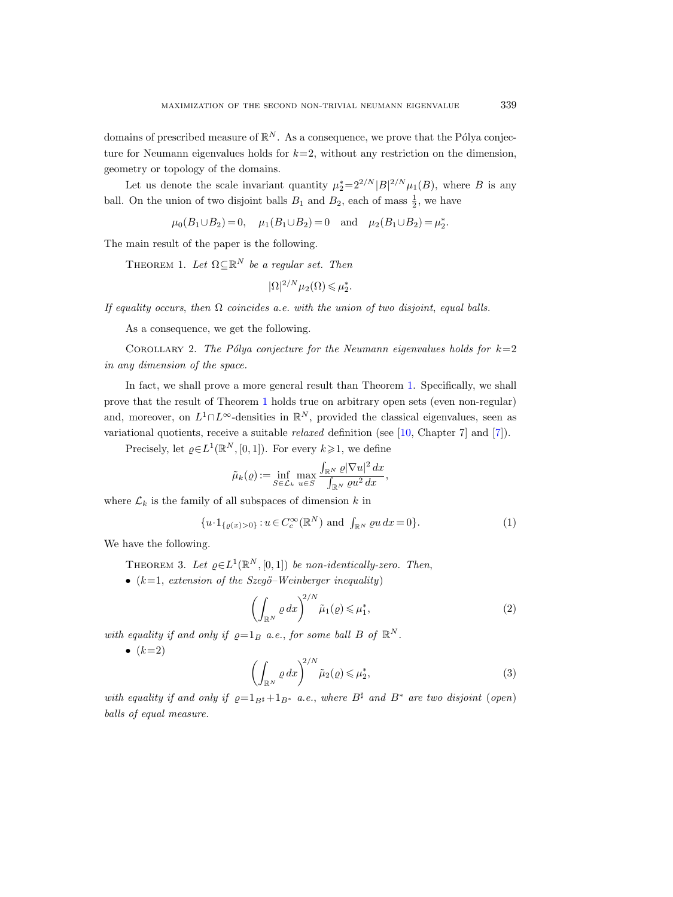domains of prescribed measure of  $\mathbb{R}^N$ . As a consequence, we prove that the Pólya conjecture for Neumann eigenvalues holds for  $k=2$ , without any restriction on the dimension, geometry or topology of the domains.

Let us denote the scale invariant quantity  $\mu_2^* = 2^{2/N} |B|^{2/N} \mu_1(B)$ , where B is any ball. On the union of two disjoint balls  $B_1$  and  $B_2$ , each of mass  $\frac{1}{2}$ , we have

 $\mu_0(B_1 \cup B_2) = 0$ ,  $\mu_1(B_1 \cup B_2) = 0$  and  $\mu_2(B_1 \cup B_2) = \mu_2^*$ .

<span id="page-2-0"></span>The main result of the paper is the following.

THEOREM 1. Let  $\Omega \subseteq \mathbb{R}^N$  be a regular set. Then

$$
|\Omega|^{2/N} \mu_2(\Omega) \leq \mu_2^*.
$$

If equality occurs, then  $\Omega$  coincides a.e. with the union of two disjoint, equal balls.

As a consequence, we get the following.

COROLLARY 2. The Pólya conjecture for the Neumann eigenvalues holds for  $k=2$ in any dimension of the space.

In fact, we shall prove a more general result than Theorem [1.](#page-2-0) Specifically, we shall prove that the result of Theorem [1](#page-2-0) holds true on arbitrary open sets (even non-regular) and, moreover, on  $L^1 \cap L^\infty$ -densities in  $\mathbb{R}^N$ , provided the classical eigenvalues, seen as variational quotients, receive a suitable relaxed definition (see [\[10,](#page-24-9) Chapter 7] and [\[7\]](#page-24-10)).

Precisely, let  $\varrho \in L^1(\mathbb{R}^N, [0, 1])$ . For every  $k \geq 1$ , we define

$$
\tilde{\mu}_k(\varrho) := \inf_{S \in \mathcal{L}_k} \max_{u \in S} \frac{\int_{\mathbb{R}^N} \varrho |\nabla u|^2 \, dx}{\int_{\mathbb{R}^N} \varrho u^2 \, dx},
$$

where  $\mathcal{L}_k$  is the family of all subspaces of dimension k in

<span id="page-2-2"></span>
$$
\{u \cdot 1_{\{\varrho(x) > 0\}} : u \in C_c^{\infty}(\mathbb{R}^N) \text{ and } \int_{\mathbb{R}^N} \varrho u \, dx = 0\}.
$$
\n<sup>(1)</sup>

<span id="page-2-1"></span>We have the following.

THEOREM 3. Let  $\varrho \in L^1(\mathbb{R}^N, [0,1])$  be non-identically-zero. Then,

•  $(k=1,$  extension of the Szegö–Weinberger inequality)

<span id="page-2-3"></span>
$$
\left(\int_{\mathbb{R}^N} \varrho \, dx\right)^{2/N} \tilde{\mu}_1(\varrho) \leqslant \mu_1^*,\tag{2}
$$

with equality if and only if  $\rho = 1_B$  a.e., for some ball B of  $\mathbb{R}^N$ .

•  $(k=2)$ 

$$
\left(\int_{\mathbb{R}^N} \varrho \, dx\right)^{2/N} \tilde{\mu}_2(\varrho) \leq \mu_2^*,\tag{3}
$$

with equality if and only if  $\rho = 1_{B^{\sharp}} + 1_{B^*}$  a.e., where  $B^{\sharp}$  and  $B^*$  are two disjoint (open) balls of equal measure.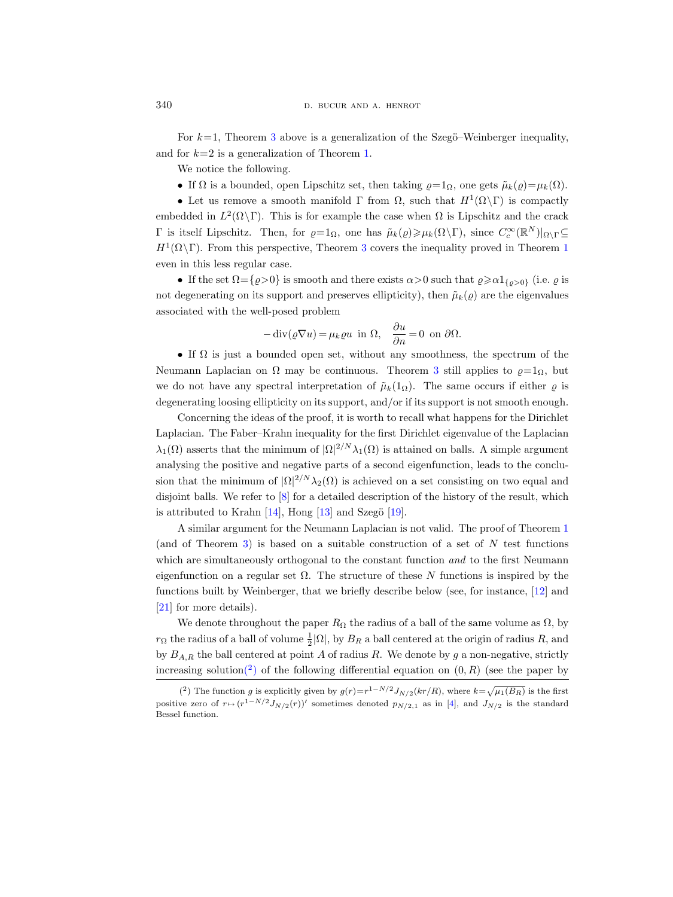For  $k=1$ , Theorem [3](#page-2-1) above is a generalization of the Szegö–Weinberger inequality, and for  $k=2$  is a generalization of Theorem [1.](#page-2-0)

We notice the following.

• If  $\Omega$  is a bounded, open Lipschitz set, then taking  $\rho = 1_{\Omega}$ , one gets  $\tilde{\mu}_k(\rho) = \mu_k(\Omega)$ .

• Let us remove a smooth manifold  $\Gamma$  from  $\Omega$ , such that  $H^1(\Omega \setminus \Gamma)$  is compactly embedded in  $L^2(\Omega \backslash \Gamma)$ . This is for example the case when  $\Omega$  is Lipschitz and the crack  $Γ$  is itself Lipschitz. Then, for  $\varrho = 1_\Omega$ , one has  $\tilde{\mu}_k(\varrho) \ge \mu_k(\Omega \setminus Γ)$ , since  $C_c^{\infty}(\mathbb{R}^N)|_{Ω\setminus Γ} \subseteq$  $H^1(\Omega \backslash \Gamma)$  $H^1(\Omega \backslash \Gamma)$  $H^1(\Omega \backslash \Gamma)$ . From this perspective, Theorem [3](#page-2-1) covers the inequality proved in Theorem 1 even in this less regular case.

• If the set  $\Omega = \{\varrho > 0\}$  is smooth and there exists  $\alpha > 0$  such that  $\varrho \ge \alpha 1_{\{\varrho > 0\}}$  (i.e.  $\varrho$  is not degenerating on its support and preserves ellipticity), then  $\tilde{\mu}_k(\varrho)$  are the eigenvalues associated with the well-posed problem

$$
-\operatorname{div}(\varrho \nabla u) = \mu_k \varrho u \text{ in } \Omega, \quad \frac{\partial u}{\partial n} = 0 \text{ on } \partial \Omega.
$$

• If  $\Omega$  is just a bounded open set, without any smoothness, the spectrum of the Neumann Laplacian on  $\Omega$  may be continuous. Theorem [3](#page-2-1) still applies to  $\varrho = 1_{\Omega}$ , but we do not have any spectral interpretation of  $\tilde{\mu}_k(1_\Omega)$ . The same occurs if either  $\rho$  is degenerating loosing ellipticity on its support, and/or if its support is not smooth enough.

Concerning the ideas of the proof, it is worth to recall what happens for the Dirichlet Laplacian. The Faber–Krahn inequality for the first Dirichlet eigenvalue of the Laplacian  $\lambda_1(\Omega)$  asserts that the minimum of  $|\Omega|^{2/N}\lambda_1(\Omega)$  is attained on balls. A simple argument analysing the positive and negative parts of a second eigenfunction, leads to the conclusion that the minimum of  $|\Omega|^{2/N} \lambda_2(\Omega)$  is achieved on a set consisting on two equal and disjoint balls. We refer to [\[8\]](#page-24-11) for a detailed description of the history of the result, which is attributed to Krahn  $[14]$ , Hong  $[13]$  and Szegö  $[19]$ .

A similar argument for the Neumann Laplacian is not valid. The proof of Theorem [1](#page-2-0) (and of Theorem [3\)](#page-2-1) is based on a suitable construction of a set of  $N$  test functions which are simultaneously orthogonal to the constant function and to the first Neumann eigenfunction on a regular set  $\Omega$ . The structure of these N functions is inspired by the functions built by Weinberger, that we briefly describe below (see, for instance, [\[12\]](#page-24-15) and [\[21\]](#page-24-2) for more details).

We denote throughout the paper  $R_{\Omega}$  the radius of a ball of the same volume as  $\Omega$ , by  $r_{\Omega}$  the radius of a ball of volume  $\frac{1}{2}|\Omega|$ , by  $B_R$  a ball centered at the origin of radius R, and by  $B_{A,R}$  the ball centered at point A of radius R. We denote by g a non-negative, strictly increasing solution<sup>(2)</sup> of the following differential equation on  $(0, R)$  (see the paper by

<span id="page-3-0"></span><sup>(&</sup>lt;sup>2</sup>) The function g is explicitly given by  $g(r) = r^{1-N/2} J_{N/2}(kr/R)$ , where  $k = \sqrt{\mu_1(B_R)}$  is the first positive zero of  $r \mapsto (r^{1-N/2}J_{N/2}(r))'$  sometimes denoted  $p_{N/2,1}$  as in [\[4\]](#page-23-3), and  $J_{N/2}$  is the standard Bessel function.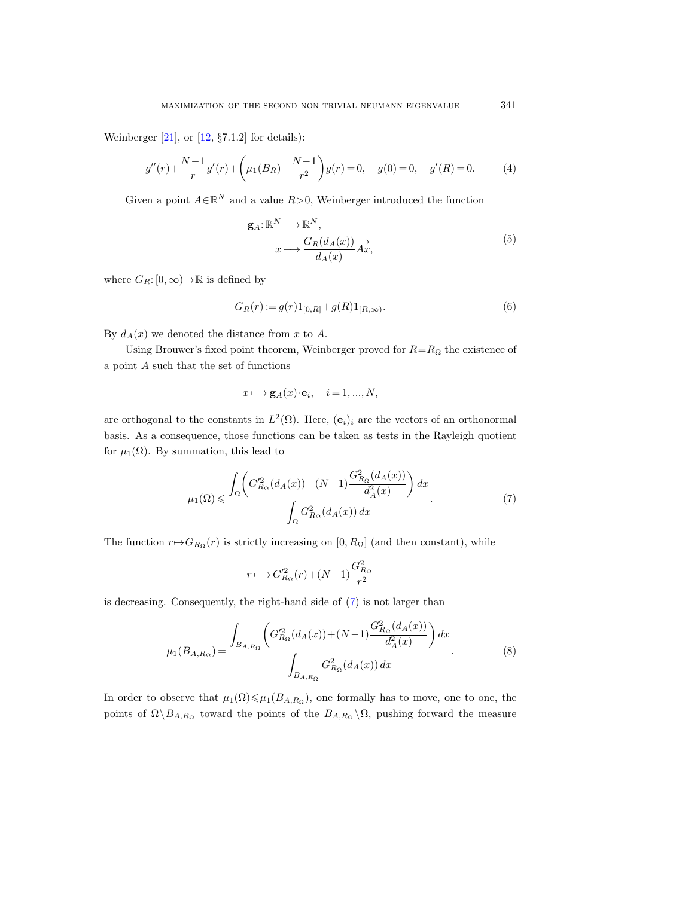Weinberger  $[21]$ , or  $[12, §7.1.2]$  for details):

<span id="page-4-2"></span>
$$
g''(r) + \frac{N-1}{r}g'(r) + \left(\mu_1(B_R) - \frac{N-1}{r^2}\right)g(r) = 0, \quad g(0) = 0, \quad g'(R) = 0.
$$
 (4)

<span id="page-4-1"></span>Given a point  $A \in \mathbb{R}^N$  and a value  $R > 0$ , Weinberger introduced the function

$$
\mathbf{g}_A: \mathbb{R}^N \longrightarrow \mathbb{R}^N, \n x \longmapsto \frac{G_R(d_A(x))}{d_A(x)} \overrightarrow{Ax},
$$
\n(5)

where  $G_R: [0, \infty) \to \mathbb{R}$  is defined by

$$
G_R(r) := g(r)1_{[0,R]} + g(R)1_{[R,\infty)}.
$$
\n(6)

By  $d_A(x)$  we denoted the distance from x to A.

Using Brouwer's fixed point theorem, Weinberger proved for  $R=R_{\Omega}$  the existence of a point A such that the set of functions

$$
x \longmapsto \mathbf{g}_A(x) \cdot \mathbf{e}_i, \quad i = 1, ..., N,
$$

are orthogonal to the constants in  $L^2(\Omega)$ . Here,  $(e_i)_i$  are the vectors of an orthonormal basis. As a consequence, those functions can be taken as tests in the Rayleigh quotient for  $\mu_1(\Omega)$ . By summation, this lead to

<span id="page-4-0"></span>
$$
\mu_1(\Omega) \leq \frac{\int_{\Omega} \left( G_{R_{\Omega}}^2(d_A(x)) + (N-1) \frac{G_{R_{\Omega}}^2(d_A(x))}{d_A^2(x)} \right) dx}{\int_{\Omega} G_{R_{\Omega}}^2(d_A(x)) dx}.
$$
\n(7)

The function  $r \mapsto G_{R_{\Omega}}(r)$  is strictly increasing on  $[0, R_{\Omega}]$  (and then constant), while

$$
r \longmapsto G_{R_{\Omega}}'^{2}(r) + (N - 1) \frac{G_{R_{\Omega}}^{2}}{r^{2}}
$$

is decreasing. Consequently, the right-hand side of [\(7\)](#page-4-0) is not larger than

$$
\mu_1(B_{A,R_{\Omega}}) = \frac{\int_{B_{A,R_{\Omega}}} \left( G_{R_{\Omega}}^{2}(d_A(x)) + (N-1) \frac{G_{R_{\Omega}}^{2}(d_A(x))}{d_A^{2}(x)} \right) dx}{\int_{B_{A,R_{\Omega}}} G_{R_{\Omega}}^{2}(d_A(x)) dx}.
$$
\n(8)

In order to observe that  $\mu_1(\Omega) \leq \mu_1(B_{A,R_{\Omega}})$ , one formally has to move, one to one, the points of  $\Omega \backslash B_{A,R_{\Omega}}$  toward the points of the  $B_{A,R_{\Omega}} \backslash \Omega$ , pushing forward the measure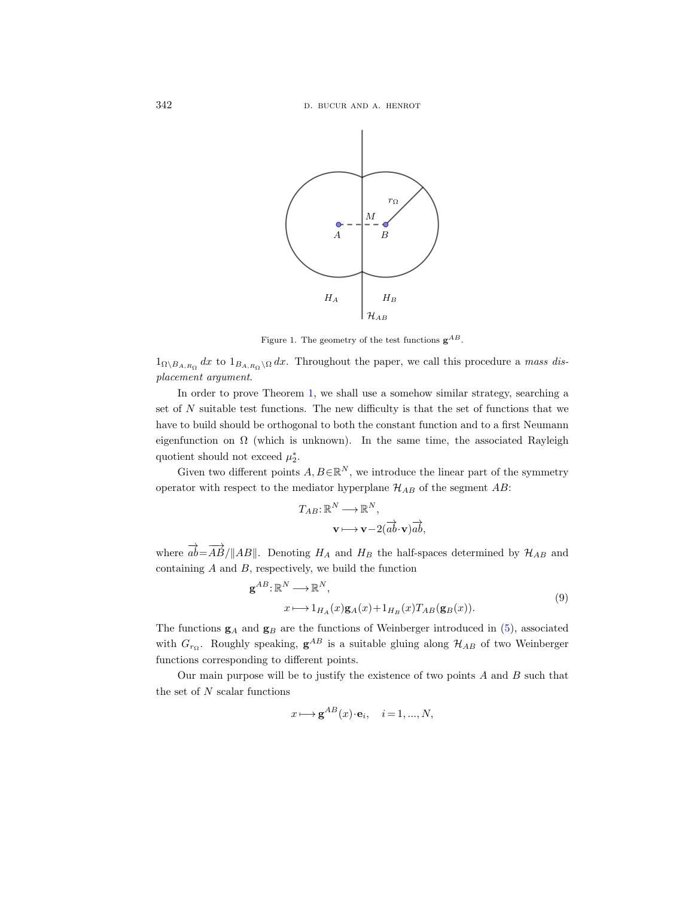

Figure 1. The geometry of the test functions  $\mathbf{g}^{AB}$ .

 $1_{\Omega\setminus B_{A,R_{\Omega}}} dx$  to  $1_{B_{A,R_{\Omega}}\setminus\Omega} dx$ . Throughout the paper, we call this procedure a mass displacement argument.

In order to prove Theorem [1,](#page-2-0) we shall use a somehow similar strategy, searching a set of  $N$  suitable test functions. The new difficulty is that the set of functions that we have to build should be orthogonal to both the constant function and to a first Neumann eigenfunction on  $\Omega$  (which is unknown). In the same time, the associated Rayleigh quotient should not exceed  $\mu_2^*$ .

Given two different points  $A, B \in \mathbb{R}^N$ , we introduce the linear part of the symmetry operator with respect to the mediator hyperplane  $\mathcal{H}_{AB}$  of the segment  $AB$ :

$$
T_{AB}: \mathbb{R}^{N} \longrightarrow \mathbb{R}^{N},
$$
  

$$
\mathbf{v} \longmapsto \mathbf{v} - 2(\overrightarrow{ab} \cdot \mathbf{v}) \overrightarrow{ab},
$$

where  $\overrightarrow{ab} = \overrightarrow{AB}/||AB||$ . Denoting  $H_A$  and  $H_B$  the half-spaces determined by  $\mathcal{H}_{AB}$  and containing  $A$  and  $B$ , respectively, we build the function

$$
\mathbf{g}^{AB} : \mathbb{R}^N \longrightarrow \mathbb{R}^N, \n x \longmapsto 1_{H_A}(x) \mathbf{g}_A(x) + 1_{H_B}(x) T_{AB}(\mathbf{g}_B(x)).
$$
\n(9)

<span id="page-5-0"></span>The functions  $g_A$  and  $g_B$  are the functions of Weinberger introduced in [\(5\)](#page-4-1), associated with  $G_{r_{\Omega}}$ . Roughly speaking,  $\mathbf{g}^{AB}$  is a suitable gluing along  $\mathcal{H}_{AB}$  of two Weinberger functions corresponding to different points.

Our main purpose will be to justify the existence of two points  $A$  and  $B$  such that the set of  $N$  scalar functions

$$
x \longmapsto \mathbf{g}^{AB}(x) \cdot \mathbf{e}_i, \quad i = 1, ..., N,
$$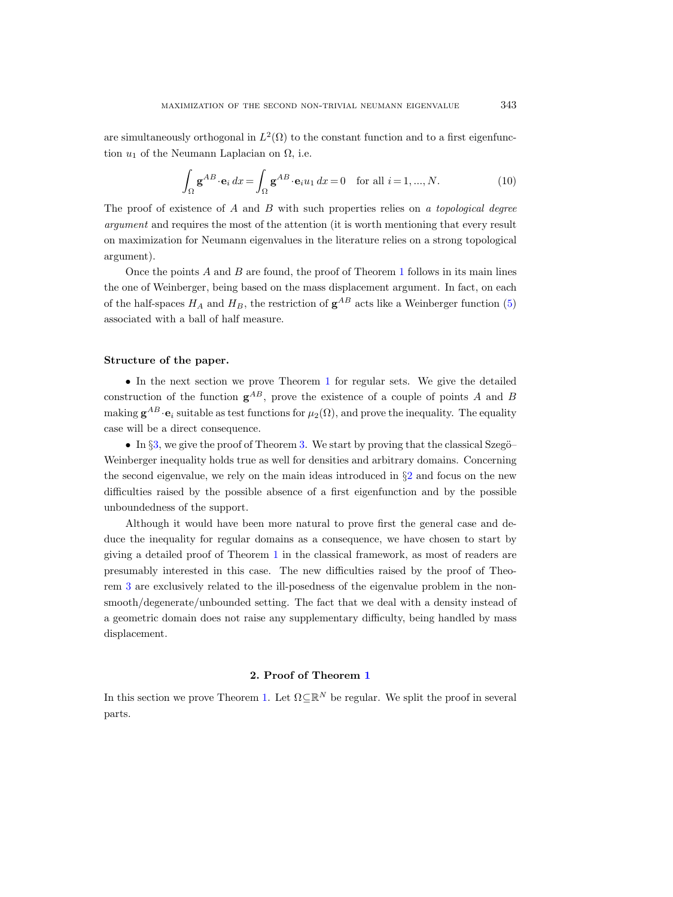are simultaneously orthogonal in  $L^2(\Omega)$  to the constant function and to a first eigenfunction  $u_1$  of the Neumann Laplacian on  $\Omega$ , i.e.

<span id="page-6-1"></span>
$$
\int_{\Omega} \mathbf{g}^{AB} \cdot \mathbf{e}_i dx = \int_{\Omega} \mathbf{g}^{AB} \cdot \mathbf{e}_i u_1 dx = 0 \quad \text{for all } i = 1, ..., N.
$$
 (10)

The proof of existence of A and B with such properties relies on a topological degree argument and requires the most of the attention (it is worth mentioning that every result on maximization for Neumann eigenvalues in the literature relies on a strong topological argument).

Once the points  $A$  and  $B$  are found, the proof of Theorem [1](#page-2-0) follows in its main lines the one of Weinberger, being based on the mass displacement argument. In fact, on each of the half-spaces  $H_A$  and  $H_B$ , the restriction of  $\mathbf{g}^{AB}$  acts like a Weinberger function [\(5\)](#page-4-1) associated with a ball of half measure.

#### Structure of the paper.

• In the next section we prove Theorem [1](#page-2-0) for regular sets. We give the detailed construction of the function  $g^{AB}$ , prove the existence of a couple of points A and B making  $\mathbf{g}^{AB} \cdot \mathbf{e}_i$  suitable as test functions for  $\mu_2(\Omega)$ , and prove the inequality. The equality case will be a direct consequence.

• In §[3,](#page-17-0) we give the proof of Theorem [3.](#page-2-1) We start by proving that the classical Szegö– Weinberger inequality holds true as well for densities and arbitrary domains. Concerning the second eigenvalue, we rely on the main ideas introduced in  $\S$ [2](#page-6-0) and focus on the new difficulties raised by the possible absence of a first eigenfunction and by the possible unboundedness of the support.

Although it would have been more natural to prove first the general case and deduce the inequality for regular domains as a consequence, we have chosen to start by giving a detailed proof of Theorem [1](#page-2-0) in the classical framework, as most of readers are presumably interested in this case. The new difficulties raised by the proof of Theorem [3](#page-2-1) are exclusively related to the ill-posedness of the eigenvalue problem in the nonsmooth/degenerate/unbounded setting. The fact that we deal with a density instead of a geometric domain does not raise any supplementary difficulty, being handled by mass displacement.

## 2. Proof of Theorem [1](#page-2-0)

<span id="page-6-0"></span>In this section we prove Theorem [1.](#page-2-0) Let  $\Omega \subseteq \mathbb{R}^N$  be regular. We split the proof in several parts.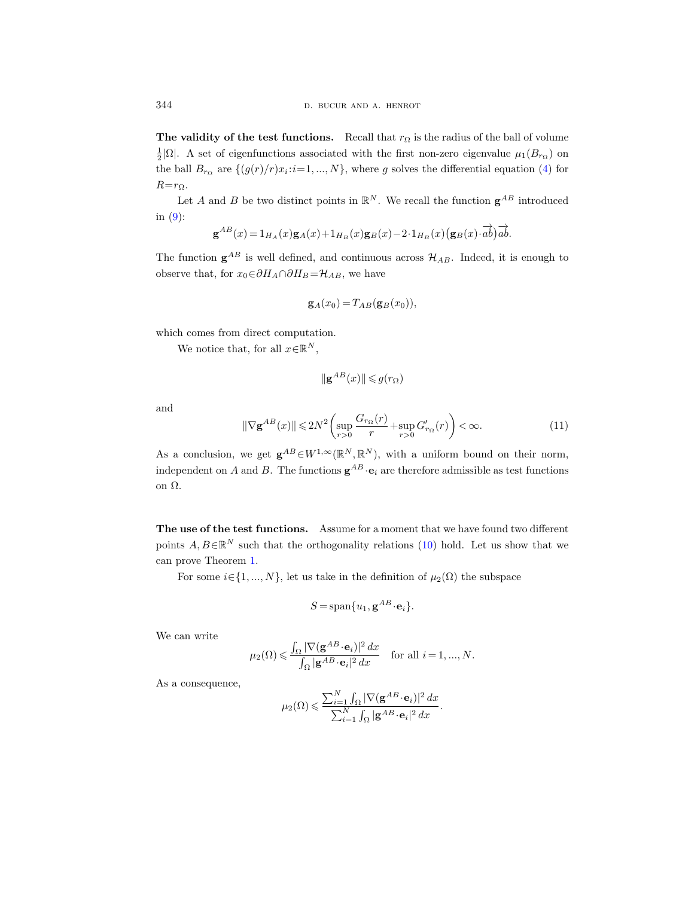The validity of the test functions. Recall that  $r<sub>O</sub>$  is the radius of the ball of volume  $\frac{1}{2}|\Omega|$ . A set of eigenfunctions associated with the first non-zero eigenvalue  $\mu_1(B_{r_{\Omega}})$  on the ball  $B_{r_{\Omega}}$  are  $\{(g(r)/r)x_i:i=1,...,N\}$ , where g solves the differential equation [\(4\)](#page-4-2) for  $R=r_{\Omega}$ .

Let A and B be two distinct points in  $\mathbb{R}^N$ . We recall the function  $\mathbf{g}^{AB}$  introduced in [\(9\)](#page-5-0):

$$
\mathbf{g}^{AB}(x) = 1_{H_A}(x)\mathbf{g}_A(x) + 1_{H_B}(x)\mathbf{g}_B(x) - 2 \cdot 1_{H_B}(x)\left(\mathbf{g}_B(x) \cdot \overrightarrow{ab}\right) \overrightarrow{ab}.
$$

The function  $\mathbf{g}^{AB}$  is well defined, and continuous across  $\mathcal{H}_{AB}$ . Indeed, it is enough to observe that, for  $x_0 \in \partial H_A \cap \partial H_B = \mathcal{H}_{AB}$ , we have

$$
\mathbf{g}_A(x_0) = T_{AB}(\mathbf{g}_B(x_0)),
$$

which comes from direct computation.

We notice that, for all  $x \in \mathbb{R}^N$ ,

$$
\|\mathbf{g}^{AB}(x)\| \leqslant g(r_\Omega)
$$

and

<span id="page-7-0"></span>
$$
\|\nabla \mathbf{g}^{AB}(x)\| \leqslant 2N^2 \left(\sup_{r>0} \frac{G_{r_{\Omega}}(r)}{r} + \sup_{r>0} G'_{r_{\Omega}}(r)\right) < \infty. \tag{11}
$$

As a conclusion, we get  $\mathbf{g}^{AB} \in W^{1,\infty}(\mathbb{R}^N, \mathbb{R}^N)$ , with a uniform bound on their norm, independent on A and B. The functions  $\mathbf{g}^{AB} \cdot \mathbf{e}_i$  are therefore admissible as test functions on Ω.

The use of the test functions. Assume for a moment that we have found two different points  $A, B \in \mathbb{R}^N$  such that the orthogonality relations [\(10\)](#page-6-1) hold. Let us show that we can prove Theorem [1.](#page-2-0)

For some  $i \in \{1, ..., N\}$ , let us take in the definition of  $\mu_2(\Omega)$  the subspace

$$
S = \text{span}\{u_1, \mathbf{g}^{AB} \cdot \mathbf{e}_i\}.
$$

We can write

$$
\mu_2(\Omega) \leqslant \frac{\int_{\Omega} |\nabla (\mathbf{g}^{AB} \cdot \mathbf{e}_i)|^2 dx}{\int_{\Omega} |\mathbf{g}^{AB} \cdot \mathbf{e}_i|^2 dx} \quad \text{for all } i = 1, ..., N.
$$

As a consequence,

$$
\mu_2(\Omega) \leqslant \frac{\sum_{i=1}^N \int_{\Omega} |\nabla( \mathbf{g}^{AB} \cdot \mathbf{e}_i)|^2 \, dx}{\sum_{i=1}^N \int_{\Omega} |\mathbf{g}^{AB} \cdot \mathbf{e}_i|^2 \, dx}.
$$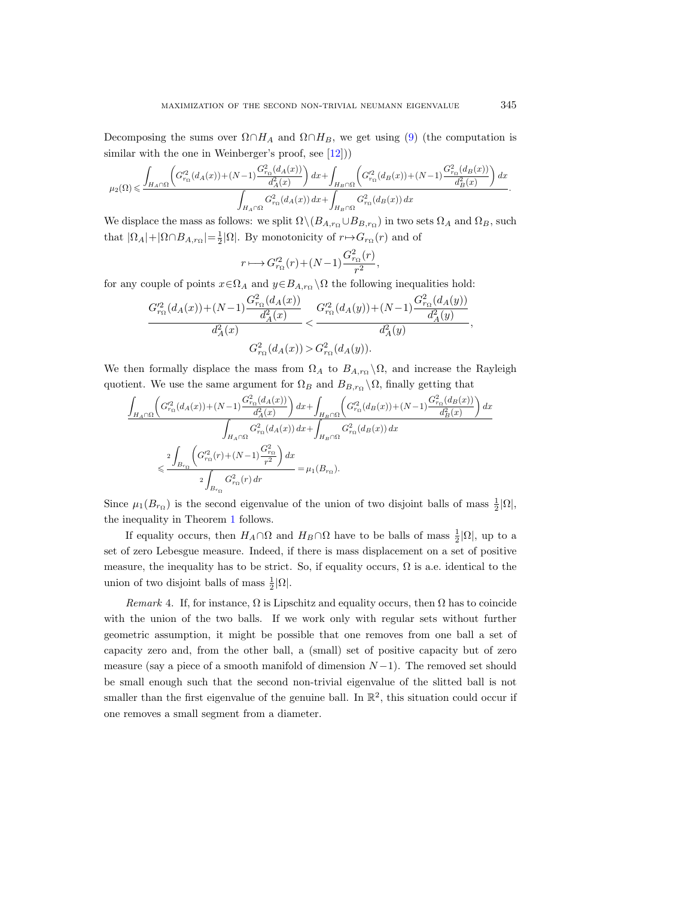Decomposing the sums over  $\Omega \cap H_A$  and  $\Omega \cap H_B$ , we get using [\(9\)](#page-5-0) (the computation is similar with the one in Weinberger's proof, see [\[12\]](#page-24-15)))

$$
\mu_2(\Omega) \leqslant \frac{\displaystyle \int_{H_A \cap \Omega} \left(G_{r_\Omega}^{\prime 2}(d_A(x)) + (N-1) \frac{G_{r_\Omega}^2(d_A(x))}{d_A^2(x)}\right) dx + \int_{H_B \cap \Omega} \left(G_{r_\Omega}^{\prime 2}(d_B(x)) + (N-1) \frac{G_{r_\Omega}^2(d_B(x))}{d_B^2(x)}\right) dx}{\displaystyle \int_{H_A \cap \Omega} G_{r_\Omega}^2(d_A(x)) \, dx + \int_{H_B \cap \Omega} G_{r_\Omega}^2(d_B(x)) \, dx} \\
$$

We displace the mass as follows: we split  $\Omega \setminus (B_{A,r_{\Omega}} \cup B_{B,r_{\Omega}})$  in two sets  $\Omega_A$  and  $\Omega_B$ , such that  $|\Omega_A| + |\Omega \cap B_{A,r_\Omega}| = \frac{1}{2} |\Omega|$ . By monotonicity of  $r \mapsto G_{r_\Omega}(r)$  and of

$$
r \longmapsto G_{r_{\Omega}}^{\prime 2}(r) + (N - 1) \frac{G_{r_{\Omega}}^2(r)}{r^2},
$$

for any couple of points  $x \in \Omega_A$  and  $y \in B_{A,r_\Omega} \backslash \Omega$  the following inequalities hold:

$$
\dfrac{G_{r_\Omega}^{\prime 2}(d_A(x))\!+\!(N\!-\!1)\dfrac{G_{r_\Omega}^2(d_A(x))}{d_A^2(x)}}{d_A^2(x)}<\dfrac{G_{r_\Omega}^{\prime 2}(d_A(y))\!+\!(N\!-\!1)\dfrac{G_{r_\Omega}^2(d_A(y))}{d_A^2(y)}}{d_A^2(y)},
$$
  

$$
G_{r_\Omega}^2(d_A(x))>G_{r_\Omega}^2(d_A(y)).
$$

We then formally displace the mass from  $\Omega_A$  to  $B_{A,r_\Omega}\setminus\Omega$ , and increase the Rayleigh quotient. We use the same argument for  $\Omega_B$  and  $B_{B,r_D} \setminus \Omega$ , finally getting that

$$
\begin{split} \frac{\displaystyle\int_{H_A\cap\Omega}\left(G_{r_\Omega}^{\prime 2}(d_A(x))+(N-1)\frac{G_{r_\Omega}^2(d_A(x))}{d_A^2(x)}\right)dx+\int_{H_B\cap\Omega}\left(G_{r_\Omega}^{\prime 2}(d_B(x))+(N-1)\frac{G_{r_\Omega}^2(d_B(x))}{d_B^2(x)}\right)dx}{\displaystyle\int_{H_A\cap\Omega}G_{r_\Omega}^2(d_A(x))\,dx+\int_{H_B\cap\Omega}G_{r_\Omega}^2(d_B(x))\,dx} \\ \leqslant &\frac{2\displaystyle\int_{B_{r_\Omega}}\left(G_{r_\Omega}^{\prime 2}(r)+(N-1)\frac{G_{r_\Omega}^2}{r^2}\right)dx}{\displaystyle^2\int_{B_{r_\Omega}}G_{r_\Omega}^2(r)\,dr}=\mu_1(B_{r_\Omega}). \end{split}
$$

Since  $\mu_1(B_{r_{\Omega}})$  is the second eigenvalue of the union of two disjoint balls of mass  $\frac{1}{2}|\Omega|$ , the inequality in Theorem [1](#page-2-0) follows.

If equality occurs, then  $H_A \cap \Omega$  and  $H_B \cap \Omega$  have to be balls of mass  $\frac{1}{2}|\Omega|$ , up to a set of zero Lebesgue measure. Indeed, if there is mass displacement on a set of positive measure, the inequality has to be strict. So, if equality occurs,  $\Omega$  is a.e. identical to the union of two disjoint balls of mass  $\frac{1}{2}|\Omega|$ .

Remark 4. If, for instance,  $\Omega$  is Lipschitz and equality occurs, then  $\Omega$  has to coincide with the union of the two balls. If we work only with regular sets without further geometric assumption, it might be possible that one removes from one ball a set of capacity zero and, from the other ball, a (small) set of positive capacity but of zero measure (say a piece of a smooth manifold of dimension  $N-1$ ). The removed set should be small enough such that the second non-trivial eigenvalue of the slitted ball is not smaller than the first eigenvalue of the genuine ball. In  $\mathbb{R}^2$ , this situation could occur if one removes a small segment from a diameter.

.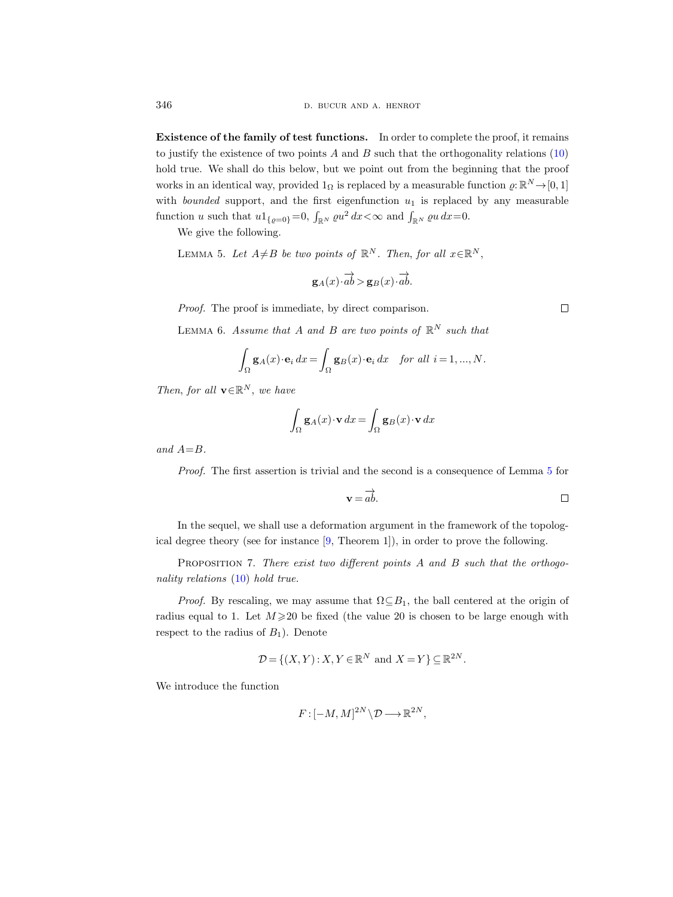Existence of the family of test functions. In order to complete the proof, it remains to justify the existence of two points  $A$  and  $B$  such that the orthogonality relations  $(10)$ hold true. We shall do this below, but we point out from the beginning that the proof works in an identical way, provided  $1_{\Omega}$  is replaced by a measurable function  $\varrho: \mathbb{R}^N \to [0, 1]$ with *bounded* support, and the first eigenfunction  $u_1$  is replaced by any measurable function u such that  $u_1_{\{g=0\}}=0$ ,  $\int_{\mathbb{R}^N} \varrho u^2 dx < \infty$  and  $\int_{\mathbb{R}^N} \varrho u dx = 0$ .

We give the following.

<span id="page-9-0"></span>LEMMA 5. Let  $A \neq B$  be two points of  $\mathbb{R}^N$ . Then, for all  $x \in \mathbb{R}^N$ ,

$$
\mathbf{g}_A(x) \cdot \overrightarrow{ab} > \mathbf{g}_B(x) \cdot \overrightarrow{ab}.
$$

Proof. The proof is immediate, by direct comparison.

<span id="page-9-1"></span>LEMMA 6. Assume that A and B are two points of  $\mathbb{R}^N$  such that

$$
\int_{\Omega} \mathbf{g}_A(x) \cdot \mathbf{e}_i dx = \int_{\Omega} \mathbf{g}_B(x) \cdot \mathbf{e}_i dx \quad \text{for all } i = 1, ..., N.
$$

Then, for all  $\mathbf{v} \in \mathbb{R}^N$ , we have

$$
\int_{\Omega} \mathbf{g}_A(x) \cdot \mathbf{v} \, dx = \int_{\Omega} \mathbf{g}_B(x) \cdot \mathbf{v} \, dx
$$

and  $A=B$ .

Proof. The first assertion is trivial and the second is a consequence of Lemma [5](#page-9-0) for

$$
\mathbf{v} = a\overrightarrow{b}.\tag{}
$$

In the sequel, we shall use a deformation argument in the framework of the topological degree theory (see for instance [\[9,](#page-24-16) Theorem 1]), in order to prove the following.

PROPOSITION 7. There exist two different points A and B such that the orthogo-nality relations [\(10\)](#page-6-1) hold true.

*Proof.* By rescaling, we may assume that  $\Omega \subseteq B_1$ , the ball centered at the origin of radius equal to 1. Let  $M \geq 20$  be fixed (the value 20 is chosen to be large enough with respect to the radius of  $B_1$ ). Denote

$$
\mathcal{D} = \{(X, Y) : X, Y \in \mathbb{R}^N \text{ and } X = Y\} \subseteq \mathbb{R}^{2N}.
$$

We introduce the function

$$
F: [-M, M]^{2N} \backslash \mathcal{D} \longrightarrow \mathbb{R}^{2N},
$$

 $\Box$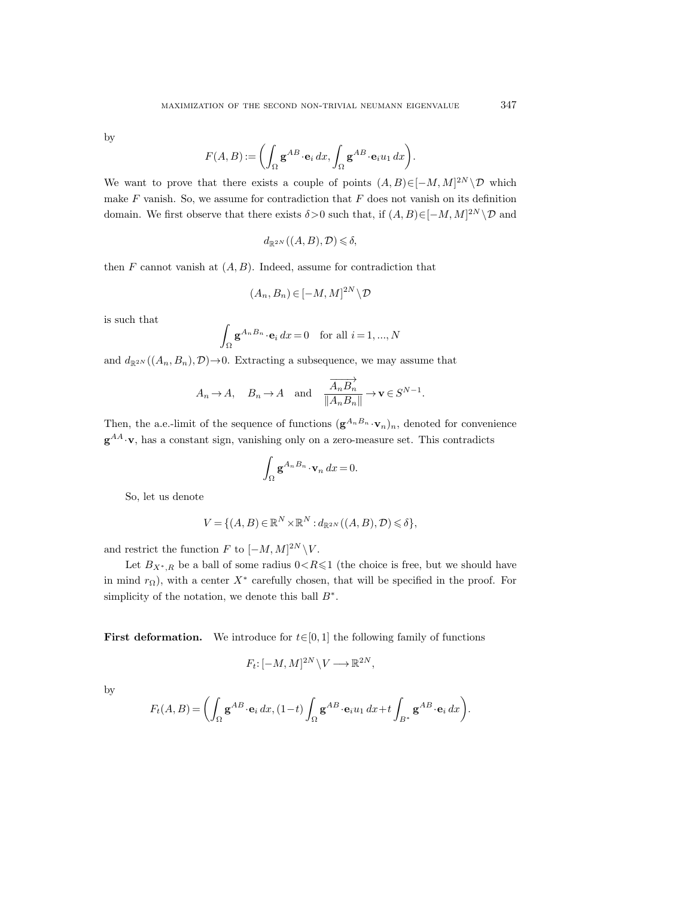by

$$
F(A, B) := \left( \int_{\Omega} \mathbf{g}^{AB} \cdot \mathbf{e}_i dx, \int_{\Omega} \mathbf{g}^{AB} \cdot \mathbf{e}_i u_1 dx \right).
$$

We want to prove that there exists a couple of points  $(A, B) \in [-M, M]^{2N} \backslash \mathcal{D}$  which make  $F$  vanish. So, we assume for contradiction that  $F$  does not vanish on its definition domain. We first observe that there exists  $\delta > 0$  such that, if  $(A, B) \in [-M, M]^{2N} \backslash \mathcal{D}$  and

$$
d_{\mathbb{R}^{2N}}((A,B),\mathcal{D})\leqslant \delta,
$$

then  $F$  cannot vanish at  $(A, B)$ . Indeed, assume for contradiction that

$$
(A_n, B_n) \in [-M, M]^{2N} \backslash \mathcal{D}
$$

is such that

$$
\int_{\Omega} \mathbf{g}^{A_n B_n} \cdot \mathbf{e}_i \, dx = 0 \quad \text{for all } i = 1, ..., N
$$

and  $d_{\mathbb{R}^{2N}}((A_n, B_n), \mathcal{D}) \rightarrow 0$ . Extracting a subsequence, we may assume that

$$
A_n \to A
$$
,  $B_n \to A$  and  $\frac{\overrightarrow{A_n B_n}}{\|A_n B_n\|} \to \mathbf{v} \in S^{N-1}$ .

Then, the a.e.-limit of the sequence of functions  $(g^{A_n B_n} \cdot v_n)_n$ , denoted for convenience  $\mathbf{g}^{AA}\cdot\mathbf{v}$ , has a constant sign, vanishing only on a zero-measure set. This contradicts

$$
\int_{\Omega} \mathbf{g}^{A_n B_n} \cdot \mathbf{v}_n \, dx = 0.
$$

So, let us denote

$$
V = \{ (A, B) \in \mathbb{R}^N \times \mathbb{R}^N : d_{\mathbb{R}^{2N}}((A, B), \mathcal{D}) \leq \delta \},
$$

and restrict the function F to  $[-M, M]^{2N} \backslash V$ .

Let  $B_{X^*,R}$  be a ball of some radius  $0 < R \le 1$  (the choice is free, but we should have in mind  $r_{\Omega}$ ), with a center  $X^*$  carefully chosen, that will be specified in the proof. For simplicity of the notation, we denote this ball  $B^*$ .

First deformation. We introduce for  $t \in [0, 1]$  the following family of functions

$$
F_t: [-M, M]^{2N} \backslash V \longrightarrow \mathbb{R}^{2N},
$$

by

$$
F_t(A, B) = \left( \int_{\Omega} \mathbf{g}^{AB} \cdot \mathbf{e}_i dx, (1-t) \int_{\Omega} \mathbf{g}^{AB} \cdot \mathbf{e}_i u_1 dx + t \int_{B^*} \mathbf{g}^{AB} \cdot \mathbf{e}_i dx \right).
$$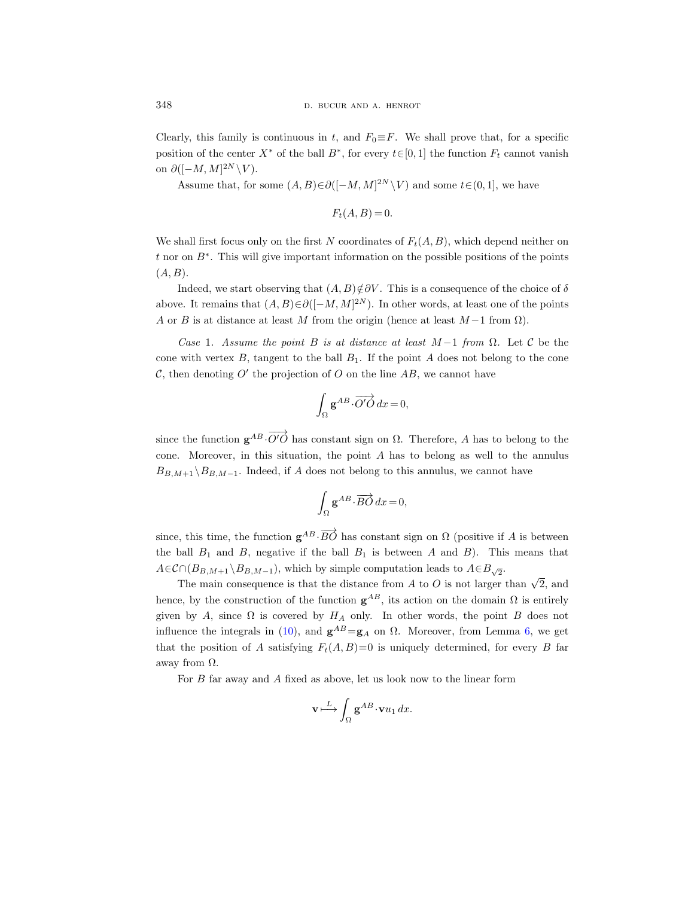Clearly, this family is continuous in t, and  $F_0 \equiv F$ . We shall prove that, for a specific position of the center  $X^*$  of the ball  $B^*$ , for every  $t \in [0, 1]$  the function  $F_t$  cannot vanish on  $\partial([-M, M]^{2N} \backslash V)$ .

Assume that, for some  $(A, B) \in \partial([-M, M]^{2N} \backslash V)$  and some  $t \in (0, 1]$ , we have

$$
F_t(A, B) = 0.
$$

We shall first focus only on the first N coordinates of  $F_t(A, B)$ , which depend neither on t nor on  $B^*$ . This will give important information on the possible positions of the points  $(A, B)$ .

Indeed, we start observing that  $(A, B) \notin \partial V$ . This is a consequence of the choice of  $\delta$ above. It remains that  $(A, B) \in \partial([-M, M]^{2N})$ . In other words, at least one of the points A or B is at distance at least M from the origin (hence at least  $M-1$  from  $\Omega$ ).

Case 1. Assume the point B is at distance at least  $M-1$  from  $\Omega$ . Let C be the cone with vertex  $B$ , tangent to the ball  $B_1$ . If the point A does not belong to the cone  $\mathcal{C}$ , then denoting  $O'$  the projection of  $O$  on the line  $AB$ , we cannot have

$$
\int_{\Omega} \mathbf{g}^{AB} \cdot \overrightarrow{O'O} \, dx = 0,
$$

since the function  $\mathbf{g}^{AB}\cdot \overrightarrow{O'O}$  has constant sign on  $\Omega$ . Therefore, A has to belong to the cone. Moreover, in this situation, the point  $A$  has to belong as well to the annulus  $B_{B,M+1} \backslash B_{B,M-1}$ . Indeed, if A does not belong to this annulus, we cannot have

$$
\int_{\Omega} \mathbf{g}^{AB} \cdot \overrightarrow{BO} \, dx = 0,
$$

since, this time, the function  $\mathbf{g}^{AB} \cdot \overrightarrow{BO}$  has constant sign on  $\Omega$  (positive if A is between the ball  $B_1$  and  $B$ , negative if the ball  $B_1$  is between A and  $B$ ). This means that  $A \in \mathcal{C} \cap (B_{B,M+1} \setminus B_{B,M-1})$ , which by simple computation leads to  $A \in \mathcal{B}_{\sqrt{2}}$ .

The main consequence is that the distance from A to O is not larger than  $\sqrt{2}$ , and The main consequence is that the distance from A to O is not larger than  $\sqrt{2}$ , and hence, by the construction of the function  $\mathbf{g}^{AB}$ , its action on the domain  $\Omega$  is entirely given by A, since  $\Omega$  is covered by  $H_A$  only. In other words, the point B does not influence the integrals in [\(10\)](#page-6-1), and  $\mathbf{g}^{AB} = \mathbf{g}_A$  on  $\Omega$ . Moreover, from Lemma [6,](#page-9-1) we get that the position of A satisfying  $F_t(A, B)=0$  is uniquely determined, for every B far away from  $Ω$ .

For B far away and A fixed as above, let us look now to the linear form

$$
\mathbf{v} \stackrel{L}{\longmapsto} \int_{\Omega} \mathbf{g}^{AB} \cdot \mathbf{v} u_1 \, dx.
$$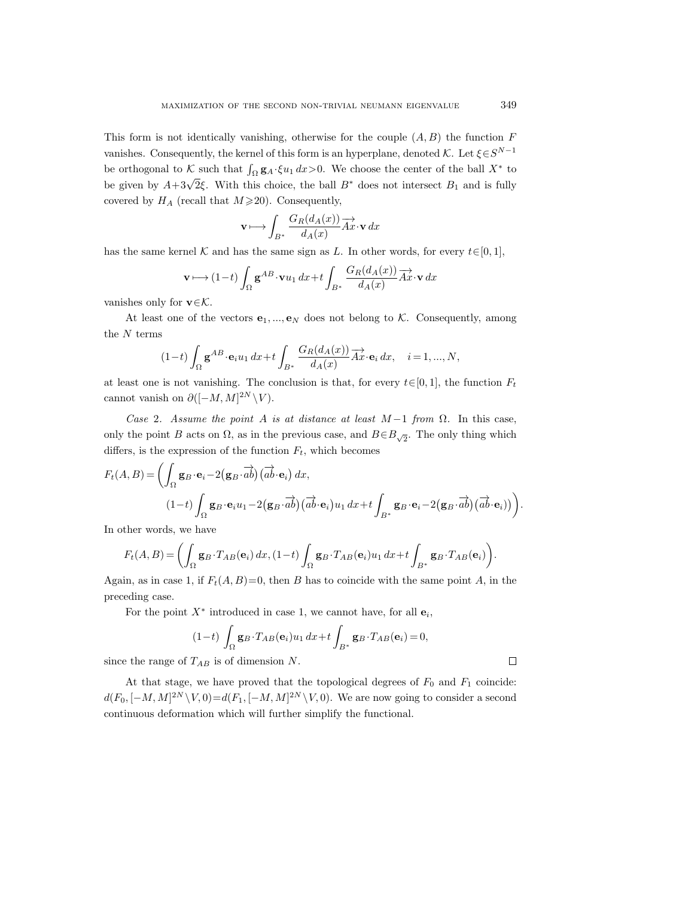This form is not identically vanishing, otherwise for the couple  $(A, B)$  the function F vanishes. Consequently, the kernel of this form is an hyperplane, denoted K. Let  $\xi \in S^{N-1}$ be orthogonal to K such that  $\int_{\Omega}$ **g**<sub>A</sub> ·  $\xi u_1 dx>0$ . We choose the center of the ball  $X^*$  to be given by  $A+3\sqrt{2}\xi$ . With this choice, the ball  $B^*$  does not intersect  $B_1$  and is fully covered by  $H_A$  (recall that  $M \geq 20$ ). Consequently,

$$
\mathbf{v} \longmapsto \int_{B^*} \frac{G_R(d_A(x))}{d_A(x)} \overrightarrow{Ax} \cdot \mathbf{v} \, dx
$$

has the same kernel K and has the same sign as L. In other words, for every  $t \in [0, 1]$ ,

$$
\mathbf{v} \longmapsto (1-t) \int_{\Omega} \mathbf{g}^{AB} \cdot \mathbf{v} u_1 \, dx + t \int_{B^*} \frac{G_R(d_A(x))}{d_A(x)} \overrightarrow{Ax} \cdot \mathbf{v} \, dx
$$

vanishes only for  $\mathbf{v} \in \mathcal{K}$ .

At least one of the vectors  $\mathbf{e}_1, ..., \mathbf{e}_N$  does not belong to K. Consequently, among the  $N$  terms

$$
(1-t)\int_{\Omega}\mathbf{g}^{AB}\cdot\mathbf{e}_iu_1\,dx+t\int_{B^*}\frac{G_R(d_A(x))}{d_A(x)}\overrightarrow{Ax}\cdot\mathbf{e}_i\,dx,\quad i=1,...,N,
$$

at least one is not vanishing. The conclusion is that, for every  $t \in [0, 1]$ , the function  $F_t$ cannot vanish on  $\partial([-M, M]^{2N} \backslash V)$ .

Case 2. Assume the point A is at distance at least  $M-1$  from  $\Omega$ . In this case, only the point B acts on  $\Omega$ , as in the previous case, and  $B \in B_{\sqrt{2}}$ . The only thing which differs, is the expression of the function  $F_t$ , which becomes

$$
F_t(A, B) = \left( \int_{\Omega} \mathbf{g}_B \cdot \mathbf{e}_i - 2 (\mathbf{g}_B \cdot \overrightarrow{ab}) (\overrightarrow{ab} \cdot \mathbf{e}_i) dx, \right. \n(1-t) \int_{\Omega} \mathbf{g}_B \cdot \mathbf{e}_i u_1 - 2 (\mathbf{g}_B \cdot \overrightarrow{ab}) (\overrightarrow{ab} \cdot \mathbf{e}_i) u_1 dx + t \int_{B^*} \mathbf{g}_B \cdot \mathbf{e}_i - 2 (\mathbf{g}_B \cdot \overrightarrow{ab}) (\overrightarrow{ab} \cdot \mathbf{e}_i)) \right).
$$

In other words, we have

$$
F_t(A, B) = \left( \int_{\Omega} \mathbf{g}_B \cdot T_{AB}(\mathbf{e}_i) dx, (1-t) \int_{\Omega} \mathbf{g}_B \cdot T_{AB}(\mathbf{e}_i) u_1 dx + t \int_{B^*} \mathbf{g}_B \cdot T_{AB}(\mathbf{e}_i) \right).
$$

Again, as in case 1, if  $F_t(A, B)=0$ , then B has to coincide with the same point A, in the preceding case.

For the point  $X^*$  introduced in case 1, we cannot have, for all  $e_i$ ,

$$
(1-t)\int_{\Omega} \mathbf{g}_B \cdot T_{AB}(\mathbf{e}_i) u_1 dx + t \int_{B^*} \mathbf{g}_B \cdot T_{AB}(\mathbf{e}_i) = 0,
$$

since the range of  $T_{AB}$  is of dimension N.

At that stage, we have proved that the topological degrees of  $F_0$  and  $F_1$  coincide:  $d(F_0, [-M, M]^{2N} \setminus V, 0) = d(F_1, [-M, M]^{2N} \setminus V, 0)$ . We are now going to consider a second continuous deformation which will further simplify the functional.

 $\Box$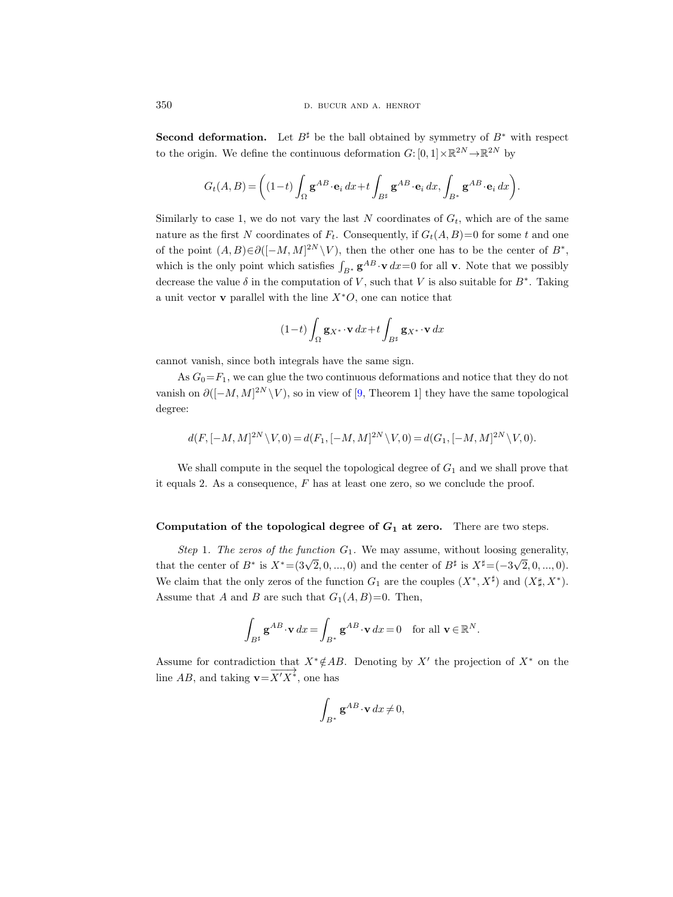**Second deformation.** Let  $B^{\sharp}$  be the ball obtained by symmetry of  $B^*$  with respect to the origin. We define the continuous deformation  $G: [0,1] \times \mathbb{R}^{2N} \to \mathbb{R}^{2N}$  by

$$
G_t(A, B) = \left( (1-t) \int_{\Omega} \mathbf{g}^{AB} \cdot \mathbf{e}_i dx + t \int_{B^{\sharp}} \mathbf{g}^{AB} \cdot \mathbf{e}_i dx, \int_{B^*} \mathbf{g}^{AB} \cdot \mathbf{e}_i dx \right).
$$

Similarly to case 1, we do not vary the last N coordinates of  $G_t$ , which are of the same nature as the first N coordinates of  $F_t$ . Consequently, if  $G_t(A, B)=0$  for some t and one of the point  $(A, B) \in \partial ([-M, M]^{2N} \backslash V)$ , then the other one has to be the center of  $B^*$ , which is the only point which satisfies  $\int_{B^*} \mathbf{g}^{AB} \cdot \mathbf{v} \, dx = 0$  for all **v**. Note that we possibly decrease the value  $\delta$  in the computation of V, such that V is also suitable for  $B^*$ . Taking a unit vector **v** parallel with the line  $X^*O$ , one can notice that

$$
(1-t)\int_{\Omega}\mathbf{g}_{X^*}\cdot\mathbf{v}\,dx+t\int_{B^{\sharp}}\mathbf{g}_{X^*}\cdot\mathbf{v}\,dx
$$

cannot vanish, since both integrals have the same sign.

As  $G_0 = F_1$ , we can glue the two continuous deformations and notice that they do not vanish on  $\partial([-M, M]^{2N} \backslash V)$ , so in view of [\[9,](#page-24-16) Theorem 1] they have the same topological degree:

$$
d(F, [-M, M]^{2N} \backslash V, 0) = d(F_1, [-M, M]^{2N} \backslash V, 0) = d(G_1, [-M, M]^{2N} \backslash V, 0).
$$

We shall compute in the sequel the topological degree of  $G_1$  and we shall prove that it equals 2. As a consequence,  $F$  has at least one zero, so we conclude the proof.

#### Computation of the topological degree of  $G_1$  at zero. There are two steps.

Step 1. The zeros of the function  $G_1$ . We may assume, without loosing generality, that the center of B<sup>\*</sup> is  $X^* = (3\sqrt{2}, 0, ..., 0)$  and the center of B<sup>‡</sup> is  $X^{\sharp} = (-3\sqrt{2}, 0, ..., 0)$  $(2,0,...,0).$ We claim that the only zeros of the function  $G_1$  are the couples  $(X^*, X^{\sharp})$  and  $(X\sharp, X^*)$ . Assume that A and B are such that  $G_1(A, B)=0$ . Then,

$$
\int_{B^{\sharp}} \mathbf{g}^{AB} \cdot \mathbf{v} \, dx = \int_{B^*} \mathbf{g}^{AB} \cdot \mathbf{v} \, dx = 0 \quad \text{for all } \mathbf{v} \in \mathbb{R}^N.
$$

Assume for contradiction that  $X^* \notin AB$ . Denoting by X' the projection of  $X^*$  on the line AB, and taking  $\mathbf{v} = \overline{X'X^*}$ , one has

$$
\int_{B^*} \mathbf{g}^{AB} \cdot \mathbf{v} \, dx \neq 0,
$$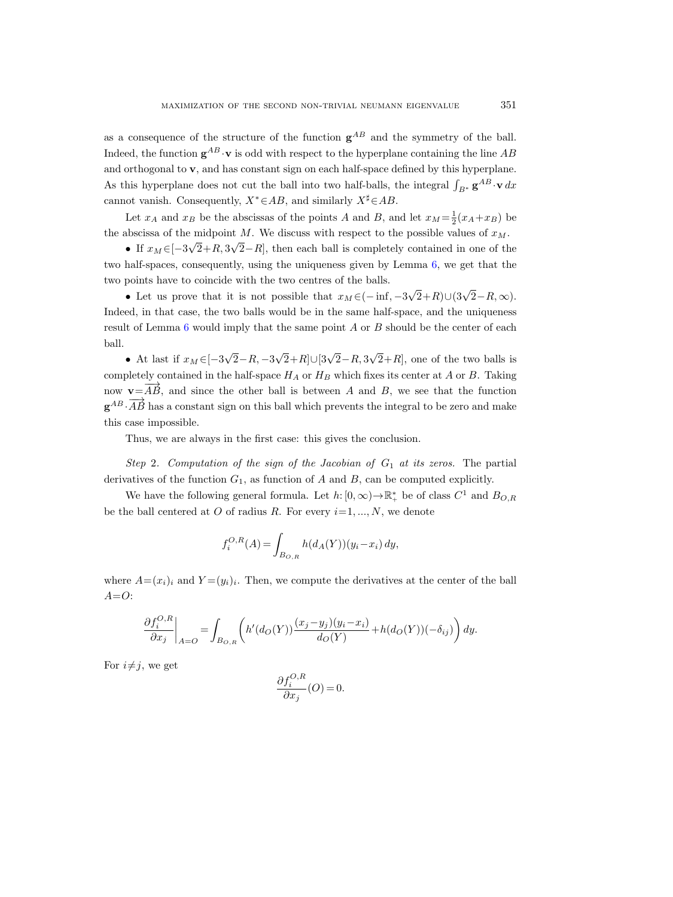as a consequence of the structure of the function  $g^{AB}$  and the symmetry of the ball. Indeed, the function  $\mathbf{g}^{AB} \cdot \mathbf{v}$  is odd with respect to the hyperplane containing the line AB and orthogonal to v, and has constant sign on each half-space defined by this hyperplane. As this hyperplane does not cut the ball into two half-balls, the integral  $\int_{B^*} \mathbf{g}^{AB} \cdot \mathbf{v} \, dx$ cannot vanish. Consequently,  $X^* \in AB$ , and similarly  $X^{\sharp} \in AB$ .

Let  $x_A$  and  $x_B$  be the abscissas of the points A and B, and let  $x_M = \frac{1}{2}(x_A + x_B)$  be the abscissa of the midpoint  $M$ . We discuss with respect to the possible values of  $x_M$ .

• If  $x_M \in [-3]$ √  $2 + R, 3$ √  $[2-R]$ , then each ball is completely contained in one of the two half-spaces, consequently, using the uniqueness given by Lemma [6,](#page-9-1) we get that the two points have to coincide with the two centres of the balls.

• Let us prove that it is not possible that  $x_M \in (-\inf, -3]$  $\sqrt{2}+R$ )∪ $(3\sqrt{2}-R,\infty)$ . Indeed, in that case, the two balls would be in the same half-space, and the uniqueness result of Lemma  $6$  would imply that the same point  $A$  or  $B$  should be the center of each ball. √ √

• At last if  $x_M \in [-3]$  $2-R$ ,  $-3$  $\sqrt{2}$ +R]∪[3 $\sqrt{2}$ −R, 3  $[2+R]$ , one of the two balls is completely contained in the half-space  $H_A$  or  $H_B$  which fixes its center at A or B. Taking  $\overrightarrow{P}$  now  $\overrightarrow{v} = \overrightarrow{AB}$ , and since the other ball is between A and B, we see that the function  $g^{AB}$ .  $\overrightarrow{AB}$  has a constant sign on this ball which prevents the integral to be zero and make this case impossible.

Thus, we are always in the first case: this gives the conclusion.

Step 2. Computation of the sign of the Jacobian of  $G_1$  at its zeros. The partial derivatives of the function  $G_1$ , as function of A and B, can be computed explicitly.

We have the following general formula. Let  $h: [0, \infty) \to \mathbb{R}^*_+$  be of class  $C^1$  and  $B_{O,R}$ be the ball centered at O of radius R. For every  $i=1, ..., N$ , we denote

$$
f_i^{O,R}(A) = \int_{B_{O,R}} h(d_A(Y))(y_i - x_i) dy,
$$

where  $A=(x_i)_i$  and  $Y=(y_i)_i$ . Then, we compute the derivatives at the center of the ball  $A=O$ :

$$
\frac{\partial f_i^{O,R}}{\partial x_j}\bigg|_{A=O} = \int_{B_{O,R}} \left( h'(d_O(Y)) \frac{(x_j - y_j)(y_i - x_i)}{d_O(Y)} + h(d_O(Y)) (-\delta_{ij}) \right) dy.
$$

For  $i\neq j$ , we get

$$
\frac{\partial f_i^{O,R}}{\partial x_j}(O) = 0.
$$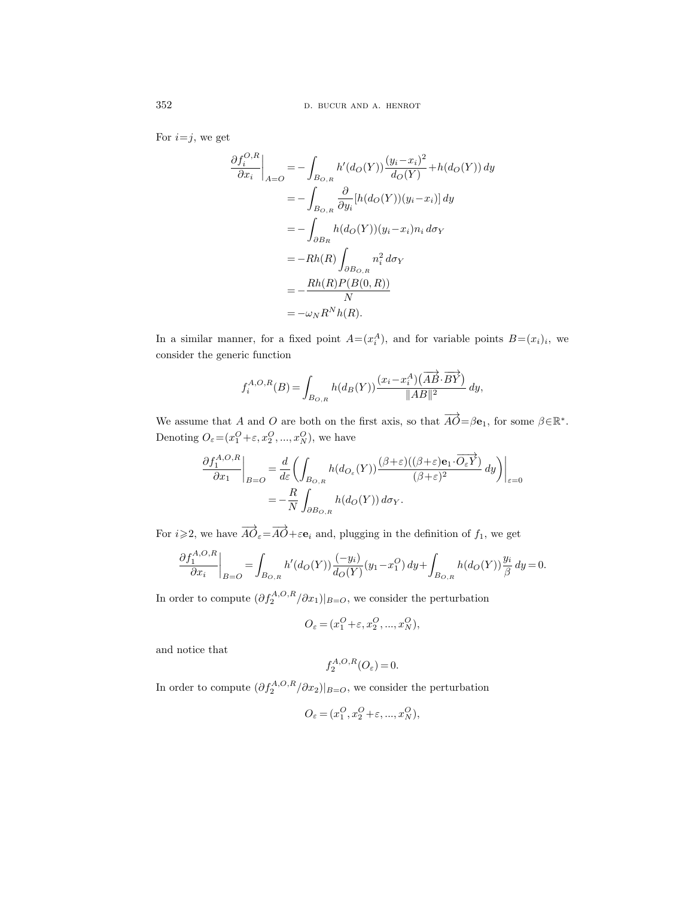For  $i=j$ , we get

$$
\frac{\partial f_i^{O,R}}{\partial x_i}\Big|_{A=O} = -\int_{B_{O,R}} h'(d_O(Y)) \frac{(y_i - x_i)^2}{d_O(Y)} + h(d_O(Y)) dy
$$
  
\n
$$
= -\int_{B_{O,R}} \frac{\partial}{\partial y_i} [h(d_O(Y))(y_i - x_i)] dy
$$
  
\n
$$
= -\int_{\partial B_R} h(d_O(Y))(y_i - x_i) n_i d\sigma_Y
$$
  
\n
$$
= -Rh(R) \int_{\partial B_{O,R}} n_i^2 d\sigma_Y
$$
  
\n
$$
= -\frac{Rh(R)P(B(0,R))}{N}
$$
  
\n
$$
= -\omega_N R^N h(R).
$$

In a similar manner, for a fixed point  $A=(x_i^A)$ , and for variable points  $B=(x_i)_i$ , we consider the generic function

$$
f_i^{A,O,R}(B)\!=\!\int_{B_{O,R}}h(d_B(Y))\frac{(x_i\!-\!x_i^A)\big(\overrightarrow{AB}\!\cdot\!\overrightarrow{BY}\big)}{\|AB\|^2}\,dy,
$$

We assume that A and O are both on the first axis, so that  $\overrightarrow{AO} = \beta \mathbf{e}_1$ , for some  $\beta \in \mathbb{R}^*$ . Denoting  $O_{\varepsilon} = (x_1^O + \varepsilon, x_2^O, ..., x_N^O)$ , we have

$$
\frac{\partial f_1^{A,O,R}}{\partial x_1}\bigg|_{B=O} = \frac{d}{d\varepsilon} \bigg(\int_{B_{O,R}} h(d_{O_{\varepsilon}}(Y)) \frac{(\beta+\varepsilon)((\beta+\varepsilon)\mathbf{e}_1 \cdot \overline{O_\varepsilon Y})}{(\beta+\varepsilon)^2} dy\bigg)\bigg|_{\varepsilon=0}
$$
  
= 
$$
-\frac{R}{N} \int_{\partial B_{O,R}} h(d_O(Y)) d\sigma_Y.
$$

For  $i \geqslant 2$ , we have  $\overrightarrow{AO}_{\varepsilon} = \overrightarrow{AO} + \varepsilon \mathbf{e}_i$  and, plugging in the definition of  $f_1$ , we get

$$
\frac{\partial f_1^{A,O,R}}{\partial x_i}\bigg|_{B=O} = \int_{B_{O,R}} h'(d_O(Y)) \frac{(-y_i)}{d_O(Y)} (y_1 - x_1^O) dy + \int_{B_{O,R}} h(d_O(Y)) \frac{y_i}{\beta} dy = 0.
$$

In order to compute  $(\partial f_2^{A,O,R}/\partial x_1)|_{B=O}$ , we consider the perturbation

$$
O_{\varepsilon} = (x_1^O + \varepsilon, x_2^O, ..., x_N^O),
$$

and notice that

$$
f_2^{A,O,R}(O_{\varepsilon}) = 0.
$$

In order to compute  $(\partial f_2^{A,O,R}/\partial x_2)|_{B=O}$ , we consider the perturbation

$$
O_{\varepsilon} = (x_1^O, x_2^O + \varepsilon, ..., x_N^O),
$$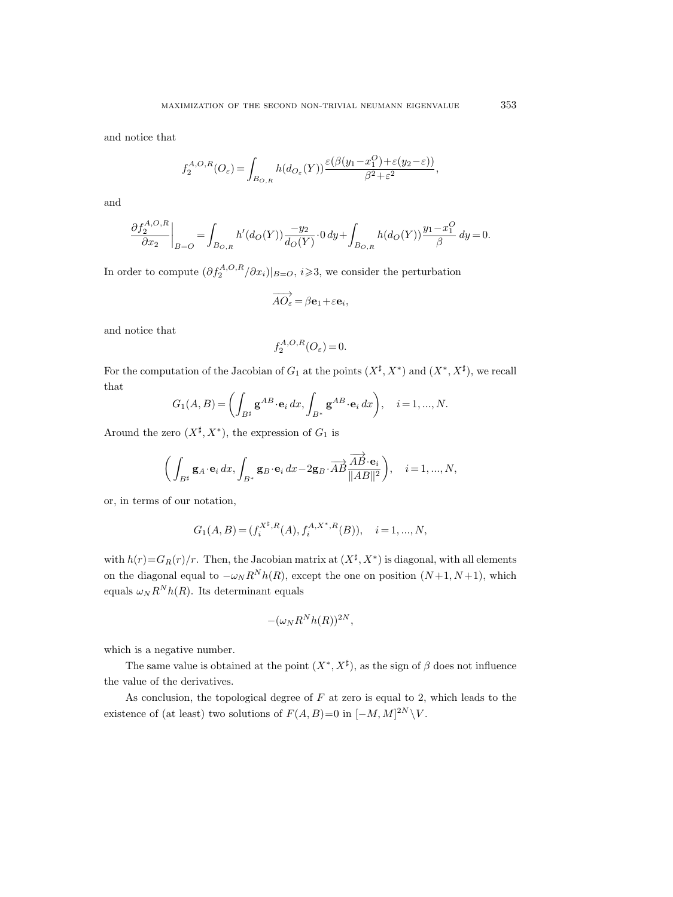and notice that

$$
f_2^{A,O,R}(O_{\varepsilon}) = \int_{B_{O,R}} h(d_{O_{\varepsilon}}(Y)) \frac{\varepsilon(\beta(y_1 - x_1^O) + \varepsilon(y_2 - \varepsilon))}{\beta^2 + \varepsilon^2},
$$

and

$$
\frac{\partial f_2^{A,O,R}}{\partial x_2}\bigg|_{B=O} = \int_{B_{O,R}} h'(d_O(Y)) \frac{-y_2}{d_O(Y)} \cdot 0 \, dy + \int_{B_{O,R}} h(d_O(Y)) \frac{y_1 - x_1^O}{\beta} \, dy = 0.
$$

In order to compute  $(\partial f_2^{A,O,R}/\partial x_i)|_{B=O}, i \geq 3$ , we consider the perturbation

$$
\overrightarrow{AO_{\varepsilon}} = \beta \mathbf{e}_1 + \varepsilon \mathbf{e}_i,
$$

and notice that

$$
f_2^{A,O,R}(O_{\varepsilon}) = 0.
$$

For the computation of the Jacobian of  $G_1$  at the points  $(X^{\sharp}, X^*)$  and  $(X^*, X^{\sharp})$ , we recall that

$$
G_1(A, B) = \left( \int_{B^{\sharp}} \mathbf{g}^{AB} \cdot \mathbf{e}_i dx, \int_{B^{\ast}} \mathbf{g}^{AB} \cdot \mathbf{e}_i dx \right), \quad i = 1, ..., N.
$$

Around the zero  $(X^{\sharp}, X^*)$ , the expression of  $G_1$  is

$$
\bigg(\int_{B^{\sharp}}\mathbf{g}_{A}\cdot\mathbf{e}_{i}\,dx,\int_{B^{\ast}}\mathbf{g}_{B}\cdot\mathbf{e}_{i}\,dx-2\mathbf{g}_{B}\cdot\overrightarrow{AB}\frac{\overrightarrow{AB}\cdot\mathbf{e}_{i}}{\|AB\|^{2}}\bigg),\quad i=1,...,N,
$$

or, in terms of our notation,

$$
G_1(A, B) = (f_i^{X^\sharp, R}(A), f_i^{A, X^*, R}(B)), \quad i = 1, ..., N,
$$

with  $h(r) = G_R(r)/r$ . Then, the Jacobian matrix at  $(X^{\sharp}, X^*)$  is diagonal, with all elements on the diagonal equal to  $-\omega_N R^N h(R)$ , except the one on position  $(N+1, N+1)$ , which equals  $\omega_N R^N h(R)$ . Its determinant equals

$$
-(\omega_N R^N h(R))^{2N},
$$

which is a negative number.

The same value is obtained at the point  $(X^*, X^{\sharp})$ , as the sign of  $\beta$  does not influence the value of the derivatives.

As conclusion, the topological degree of  $F$  at zero is equal to 2, which leads to the existence of (at least) two solutions of  $F(A, B) = 0$  in  $[-M, M]^{2N} \backslash V$ .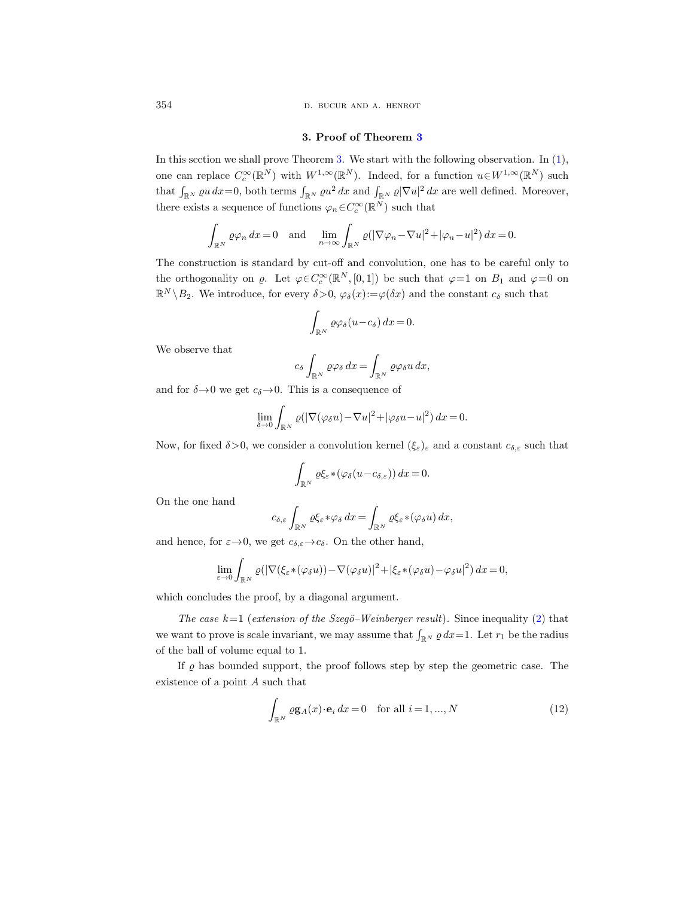354 D. BUCUR AND A. HENROT

#### 3. Proof of Theorem [3](#page-2-1)

<span id="page-17-0"></span>In this section we shall prove Theorem [3.](#page-2-1) We start with the following observation. In [\(1\)](#page-2-2), one can replace  $C_c^{\infty}(\mathbb{R}^N)$  with  $W^{1,\infty}(\mathbb{R}^N)$ . Indeed, for a function  $u \in W^{1,\infty}(\mathbb{R}^N)$  such that  $\int_{\mathbb{R}^N} \varrho u \, dx = 0$ , both terms  $\int_{\mathbb{R}^N} \varrho u^2 \, dx$  and  $\int_{\mathbb{R}^N} \varrho |\nabla u|^2 \, dx$  are well defined. Moreover, there exists a sequence of functions  $\varphi_n \in C_c^{\infty}(\mathbb{R}^N)$  such that

$$
\int_{\mathbb{R}^N} \varrho \varphi_n \, dx = 0 \quad \text{and} \quad \lim_{n \to \infty} \int_{\mathbb{R}^N} \varrho \left( |\nabla \varphi_n - \nabla u|^2 + |\varphi_n - u|^2 \right) dx = 0.
$$

The construction is standard by cut-off and convolution, one has to be careful only to the orthogonality on  $\varrho$ . Let  $\varphi \in C_c^{\infty}(\mathbb{R}^N, [0,1])$  be such that  $\varphi=1$  on  $B_1$  and  $\varphi=0$  on  $\mathbb{R}^N \setminus B_2$ . We introduce, for every  $\delta > 0$ ,  $\varphi_\delta(x) := \varphi(\delta x)$  and the constant  $c_\delta$  such that

$$
\int_{\mathbb{R}^N} \varrho \varphi_\delta(u - c_\delta) \, dx = 0.
$$

We observe that

$$
c_{\delta} \int_{\mathbb{R}^N} \varrho \varphi_{\delta} \, dx = \int_{\mathbb{R}^N} \varrho \varphi_{\delta} u \, dx,
$$

and for  $\delta \rightarrow 0$  we get  $c_{\delta} \rightarrow 0$ . This is a consequence of

$$
\lim_{\delta \to 0} \int_{\mathbb{R}^N} \varrho (|\nabla(\varphi_\delta u) - \nabla u|^2 + |\varphi_\delta u - u|^2) \, dx = 0.
$$

Now, for fixed  $\delta > 0$ , we consider a convolution kernel  $(\xi_{\varepsilon})_{\varepsilon}$  and a constant  $c_{\delta,\varepsilon}$  such that

$$
\int_{\mathbb{R}^N} \varrho \xi_{\varepsilon} * (\varphi_\delta(u - c_{\delta,\varepsilon})) \, dx = 0.
$$

On the one hand

$$
c_{\delta,\varepsilon}\int_{\mathbb{R}^N}\varrho \xi_{\varepsilon}*\varphi_{\delta}\,dx=\int_{\mathbb{R}^N}\varrho \xi_{\varepsilon}*(\varphi_{\delta} u)\,dx,
$$

and hence, for  $\varepsilon \rightarrow 0$ , we get  $c_{\delta,\varepsilon} \rightarrow c_{\delta}$ . On the other hand,

$$
\lim_{\varepsilon \to 0} \int_{\mathbb{R}^N} \varrho(|\nabla(\xi_{\varepsilon} * (\varphi_{\delta} u)) - \nabla(\varphi_{\delta} u)|^2 + |\xi_{\varepsilon} * (\varphi_{\delta} u) - \varphi_{\delta} u|^2) dx = 0,
$$

which concludes the proof, by a diagonal argument.

The case  $k=1$  (extension of the Szegö–Weinberger result). Since inequality [\(2\)](#page-2-3) that we want to prove is scale invariant, we may assume that  $\int_{\mathbb{R}^N} \varrho \, dx = 1$ . Let  $r_1$  be the radius of the ball of volume equal to 1.

If  $\varrho$  has bounded support, the proof follows step by step the geometric case. The existence of a point A such that

<span id="page-17-1"></span>
$$
\int_{\mathbb{R}^N} \varrho \mathbf{g}_A(x) \cdot \mathbf{e}_i dx = 0 \quad \text{for all } i = 1, ..., N
$$
\n(12)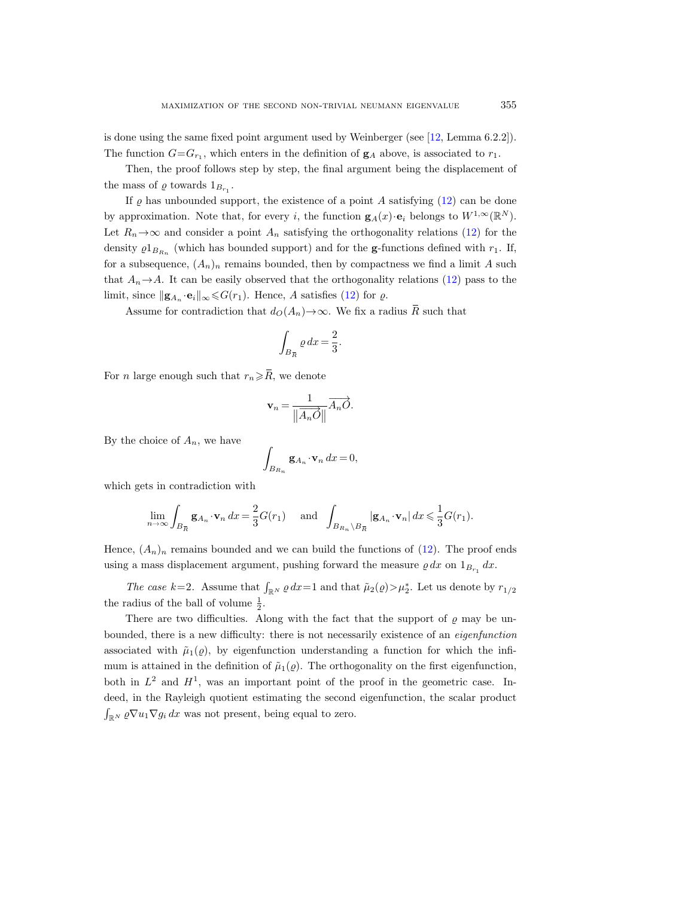is done using the same fixed point argument used by Weinberger (see [\[12,](#page-24-15) Lemma 6.2.2]). The function  $G = G_{r_1}$ , which enters in the definition of  $g_A$  above, is associated to  $r_1$ .

Then, the proof follows step by step, the final argument being the displacement of the mass of  $\varrho$  towards  $1_{B_{r_1}}$ .

If  $\varrho$  has unbounded support, the existence of a point A satisfying [\(12\)](#page-17-1) can be done by approximation. Note that, for every *i*, the function  $\mathbf{g}_A(x) \cdot \mathbf{e}_i$  belongs to  $W^{1,\infty}(\mathbb{R}^N)$ . Let  $R_n \to \infty$  and consider a point  $A_n$  satisfying the orthogonality relations [\(12\)](#page-17-1) for the density  $\varrho 1_{B_{R_n}}$  (which has bounded support) and for the **g**-functions defined with  $r_1$ . If, for a subsequence,  $(A_n)_n$  remains bounded, then by compactness we find a limit A such that  $A_n \rightarrow A$ . It can be easily observed that the orthogonality relations [\(12\)](#page-17-1) pass to the limit, since  $\|\mathbf{g}_{A_n} \cdot \mathbf{e}_i\|_{\infty} \leq G(r_1)$ . Hence, A satisfies [\(12\)](#page-17-1) for  $\varrho$ . ne using the same fixed point argument used by Weinberger (see [12, Lem<br>function  $G = G_{r_1}$ , which enters in the definition of  $\mathbf{g}_A$  above, is associate<br>Then, the proof follows step by step, the final argument being If  $\varrho$  has unbounded support, the existence<br>by approximation. Note that, for every *i*, the f<br>Let  $R_n \to \infty$  and consider a point  $A_n$  satisfying<br>density  $\varrho 1_{B_{R_n}}$  (which has bounded support) an<br>for a subsequence,  $(A$ 

e, *A* satisfies  

$$
o(A_n) \to \infty
$$
. V  

$$
\int_{B_R} \rho \, dx = \frac{2}{3}.
$$

$$
\mathbf{v}_n = \frac{1}{\|A_n \overrightarrow{O}\|} \overrightarrow{A_n \overrightarrow{O}}.
$$

By the choice of  $A_n$ , we have

$$
\int_{B_{R_n}} \mathbf{g}_{A_n} \cdot \mathbf{v}_n \, dx = 0,
$$

which gets in contradiction with

$$
\int_{B_{R_n}} G^{(1)}(x) dx
$$
ts in contradiction with  

$$
\lim_{n \to \infty} \int_{B_{\overline{R}}} \mathbf{g}_{A_n} \cdot \mathbf{v}_n dx = \frac{2}{3} G(r_1) \text{ and } \int_{B_{R_n} \setminus B_{\overline{R}}} |\mathbf{g}_{A_n} \cdot \mathbf{v}_n| dx \le \frac{1}{3} G(r_1).
$$

Hence,  $(A_n)_n$  remains bounded and we can build the functions of [\(12\)](#page-17-1). The proof ends using a mass displacement argument, pushing forward the measure  $\varrho dx$  on  $1_{B_{r_1}} dx$ .

The case k=2. Assume that  $\int_{\mathbb{R}^N} \varrho \, dx = 1$  and that  $\tilde{\mu}_2(\varrho) > \mu_2^*$ . Let us denote by  $r_{1/2}$ the radius of the ball of volume  $\frac{1}{2}$ .

There are two difficulties. Along with the fact that the support of  $\varrho$  may be unbounded, there is a new difficulty: there is not necessarily existence of an eigenfunction associated with  $\tilde{\mu}_1(\varrho)$ , by eigenfunction understanding a function for which the infimum is attained in the definition of  $\tilde{\mu}_1(\rho)$ . The orthogonality on the first eigenfunction, both in  $L^2$  and  $H^1$ , was an important point of the proof in the geometric case. Indeed, in the Rayleigh quotient estimating the second eigenfunction, the scalar product  $\int_{\mathbb{R}^N} \varrho \nabla u_1 \nabla g_i dx$  was not present, being equal to zero.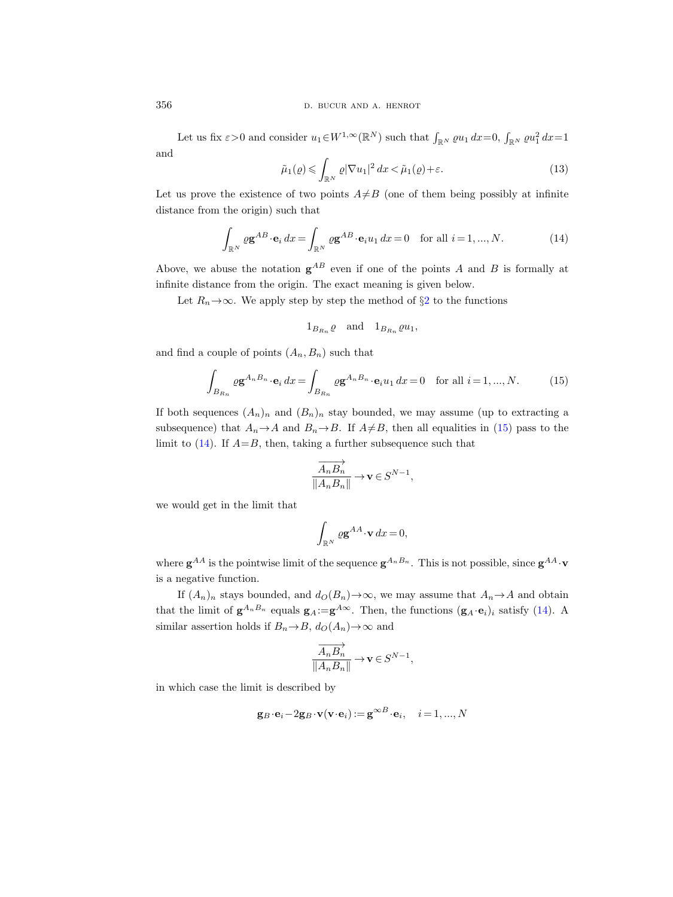Let us fix  $\varepsilon > 0$  and consider  $u_1 \in W^{1,\infty}(\mathbb{R}^N)$  such that  $\int_{\mathbb{R}^N} \varrho u_1 dx = 0$ ,  $\int_{\mathbb{R}^N} \varrho u_1^2 dx = 1$ and

<span id="page-19-2"></span>
$$
\tilde{\mu}_1(\varrho) \leqslant \int_{\mathbb{R}^N} \varrho |\nabla u_1|^2 \, dx < \tilde{\mu}_1(\varrho) + \varepsilon. \tag{13}
$$

Let us prove the existence of two points  $A\neq B$  (one of them being possibly at infinite distance from the origin) such that

<span id="page-19-1"></span>
$$
\int_{\mathbb{R}^N} \varrho \mathbf{g}^{AB} \cdot \mathbf{e}_i dx = \int_{\mathbb{R}^N} \varrho \mathbf{g}^{AB} \cdot \mathbf{e}_i u_1 dx = 0 \quad \text{for all } i = 1, ..., N. \tag{14}
$$

Above, we abuse the notation  $\mathbf{g}^{AB}$  even if one of the points A and B is formally at infinite distance from the origin. The exact meaning is given below.

Let  $R_n \to \infty$ . We apply step by step the method of §[2](#page-6-0) to the functions

$$
1_{B_{R_n}} \varrho
$$
 and  $1_{B_{R_n}} \varrho u_1$ ,

and find a couple of points  $(A_n, B_n)$  such that

<span id="page-19-0"></span>
$$
\int_{B_{R_n}} \varrho \mathbf{g}^{A_n B_n} \cdot \mathbf{e}_i \, dx = \int_{B_{R_n}} \varrho \mathbf{g}^{A_n B_n} \cdot \mathbf{e}_i u_1 \, dx = 0 \quad \text{for all } i = 1, ..., N. \tag{15}
$$

If both sequences  $(A_n)_n$  and  $(B_n)_n$  stay bounded, we may assume (up to extracting a subsequence) that  $A_n \to A$  and  $B_n \to B$ . If  $A \neq B$ , then all equalities in [\(15\)](#page-19-0) pass to the limit to  $(14)$ . If  $A=B$ , then, taking a further subsequence such that

$$
\frac{\overrightarrow{A_n B_n}}{\|A_n B_n\|} \to \mathbf{v} \in S^{N-1},
$$

we would get in the limit that

$$
\int_{\mathbb{R}^N} \varrho \mathbf{g}^{AA} \cdot \mathbf{v} \, dx = 0,
$$

where  $\mathbf{g}^{AA}$  is the pointwise limit of the sequence  $\mathbf{g}^{A_nB_n}$ . This is not possible, since  $\mathbf{g}^{AA} \cdot \mathbf{v}$ is a negative function.

If  $(A_n)_n$  stays bounded, and  $d_O(B_n) \to \infty$ , we may assume that  $A_n \to A$  and obtain that the limit of  $g^{A_n B_n}$  equals  $g_A := g^{A\infty}$ . Then, the functions  $(g_A \cdot e_i)_i$  satisfy [\(14\)](#page-19-1). A similar assertion holds if  $B_n \to B$ ,  $d_O(A_n) \to \infty$  and

$$
\frac{\overrightarrow{A_n B_n}}{\|A_n B_n\|} \to \mathbf{v} \in S^{N-1},
$$

in which case the limit is described by

$$
\mathbf{g}_B \cdot \mathbf{e}_i - 2\mathbf{g}_B \cdot \mathbf{v}(\mathbf{v} \cdot \mathbf{e}_i) := \mathbf{g}^{\infty B} \cdot \mathbf{e}_i, \quad i = 1, ..., N
$$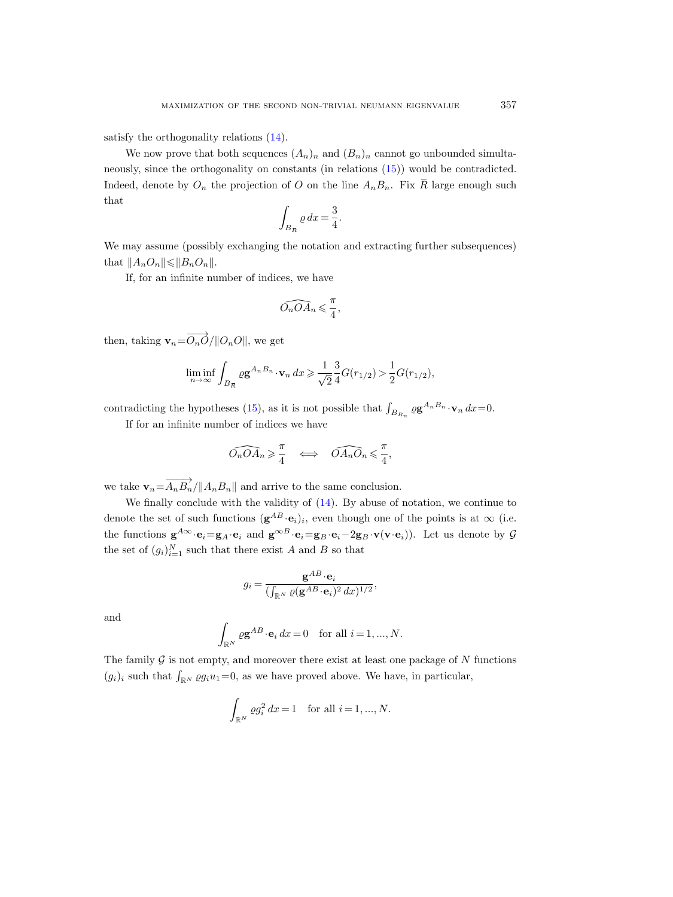satisfy the orthogonality relations [\(14\)](#page-19-1).

We now prove that both sequences  $(A_n)_n$  and  $(B_n)_n$  cannot go unbounded simultaneously, since the orthogonality on constants (in relations [\(15\)](#page-19-0)) would be contradicted. MAXIMIZATION OF THE SECOND NON-TRIVIAL NEUMANN EIGENVALUE 357<br>
Satisfy the orthogonality relations (14).<br>
We now prove that both sequences  $(A_n)_n$  and  $(B_n)_n$  cannot go unbounded simulta-<br>
neously, since the orthogonality o that nst $\int\limits_{B_{\bar{R}}}$ 

$$
\int_{B_{\overline{R}}} \varrho \, dx = \frac{3}{4}.
$$

We may assume (possibly exchanging the notation and extracting further subsequences) that  $||A_nO_n|| \leq ||B_nO_n||$ .

If, for an infinite number of indices, we have

$$
\widehat{O_nOA_n} \leqslant \frac{\pi}{4},
$$

then, taking  $\mathbf{v}_n = \overrightarrow{O_n O} / ||O_n O||$ , we get

$$
\overrightarrow{O_n O}/\|O_n O\|, \text{ we get}
$$
  

$$
\liminf_{n \to \infty} \int_{B_{\overline{R}}} \varrho \mathbf{g}^{A_n B_n} \cdot \mathbf{v}_n dx \ge \frac{1}{\sqrt{2}} \frac{3}{4} G(r_{1/2}) > \frac{1}{2} G(r_{1/2}),
$$

contradicting the hypotheses [\(15\)](#page-19-0), as it is not possible that  $\int_{B_{R_n}} \rho g^{A_n B_n} \cdot \mathbf{v}_n dx = 0$ .

If for an infinite number of indices we have

$$
\widehat{O_n O A_n} \geqslant \frac{\pi}{4} \quad \Longleftrightarrow \quad \widehat{OA_n O_n} \leqslant \frac{\pi}{4},
$$

we take  $\mathbf{v}_n = \overrightarrow{A_n B_n} / \|A_n B_n\|$  and arrive to the same conclusion.

We finally conclude with the validity of [\(14\)](#page-19-1). By abuse of notation, we continue to denote the set of such functions  $(g^{AB} \cdot e_i)_i$ , even though one of the points is at  $\infty$  (i.e. the functions  $\mathbf{g}^{A\infty}\cdot\mathbf{e}_i=\mathbf{g}_A\cdot\mathbf{e}_i$  and  $\mathbf{g}^{\infty B}\cdot\mathbf{e}_i=\mathbf{g}_B\cdot\mathbf{e}_i-2\mathbf{g}_B\cdot\mathbf{v}(\mathbf{v}\cdot\mathbf{e}_i)$ . Let us denote by  $\mathcal G$ the set of  $(g_i)_{i=1}^N$  such that there exist A and B so that

$$
g_i = \frac{\mathbf{g}^{AB} \cdot \mathbf{e}_i}{(\int_{\mathbb{R}^N} \varrho(\mathbf{g}^{AB} \cdot \mathbf{e}_i)^2 dx)^{1/2}},
$$

and

$$
\int_{\mathbb{R}^N} \varrho \mathbf{g}^{AB} \cdot \mathbf{e}_i \, dx = 0 \quad \text{for all } i = 1, ..., N.
$$

The family  $G$  is not empty, and moreover there exist at least one package of  $N$  functions  $(g_i)_i$  such that  $\int_{\mathbb{R}^N} \varrho g_i u_1 = 0$ , as we have proved above. We have, in particular,

$$
\int_{\mathbb{R}^N} \varrho g_i^2 \, dx = 1 \quad \text{for all } i = 1, ..., N.
$$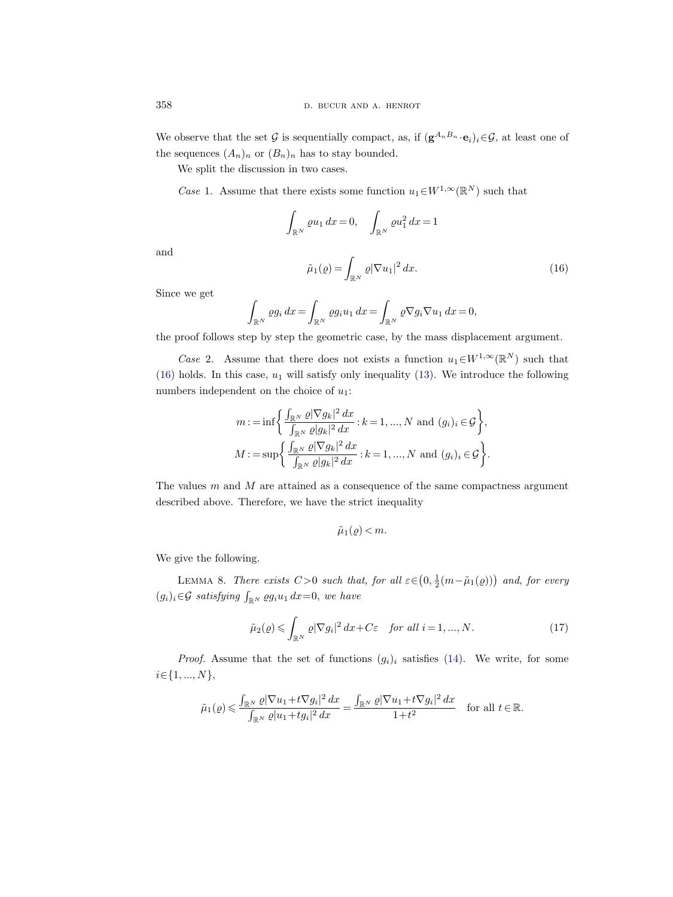We observe that the set G is sequentially compact, as, if  $(g^{A_n B_n} \cdot e_i)_i \in G$ , at least one of the sequences  $(A_n)_n$  or  $(B_n)_n$  has to stay bounded.

We split the discussion in two cases.

Case 1. Assume that there exists some function  $u_1 \in W^{1,\infty}(\mathbb{R}^N)$  such that

<span id="page-21-0"></span>
$$
\int_{\mathbb{R}^N} \varrho u_1 \, dx = 0, \quad \int_{\mathbb{R}^N} \varrho u_1^2 \, dx = 1
$$
\n
$$
\tilde{\mu}_1(\varrho) = \int_{\mathbb{R}^N} \varrho |\nabla u_1|^2 \, dx. \tag{16}
$$

Since we get

and

$$
\int_{\mathbb{R}^N} \varrho g_i \, dx = \int_{\mathbb{R}^N} \varrho g_i u_1 \, dx = \int_{\mathbb{R}^N} \varrho \nabla g_i \nabla u_1 \, dx = 0,
$$

the proof follows step by step the geometric case, by the mass displacement argument.

Case 2. Assume that there does not exists a function  $u_1 \in W^{1,\infty}(\mathbb{R}^N)$  such that [\(16\)](#page-21-0) holds. In this case,  $u_1$  will satisfy only inequality [\(13\)](#page-19-2). We introduce the following numbers independent on the choice of  $u_1$ :

$$
m:=\inf\bigg\{\frac{\int_{\mathbb{R}^N}\varrho|\nabla g_k|^2\,dx}{\int_{\mathbb{R}^N}\varrho|g_k|^2\,dx}\,; k=1,...,N\text{ and } (g_i)_i\in\mathcal{G}\bigg\},
$$
  

$$
M:=\sup\bigg\{\frac{\int_{\mathbb{R}^N}\varrho|\nabla g_k|^2\,dx}{\int_{\mathbb{R}^N}\varrho|g_k|^2\,dx}\,; k=1,...,N\text{ and } (g_i)_i\in\mathcal{G}\bigg\}.
$$

The values  $m$  and  $M$  are attained as a consequence of the same compactness argument described above. Therefore, we have the strict inequality

$$
\tilde{\mu}_1(\varrho) < m.
$$

We give the following.

LEMMA 8. There exists  $C>0$  such that, for all  $\varepsilon \in (0, \frac{1}{2}(m-\tilde{\mu}_1(\varrho)))$  and, for every  $(g_i)_i \in \mathcal{G}$  satisfying  $\int_{\mathbb{R}^N} \varrho g_i u_1 dx = 0$ , we have

<span id="page-21-1"></span>
$$
\tilde{\mu}_2(\varrho) \leqslant \int_{\mathbb{R}^N} \varrho |\nabla g_i|^2 \, dx + C\varepsilon \quad \text{for all } i = 1, ..., N. \tag{17}
$$

*Proof.* Assume that the set of functions  $(g_i)_i$  satisfies [\(14\)](#page-19-1). We write, for some  $i \in \{1, ..., N\},\$ 

$$
\tilde{\mu}_1(\varrho) \leqslant \frac{\int_{\mathbb{R}^N} \varrho |\nabla u_1 + t \nabla g_i|^2 \, dx}{\int_{\mathbb{R}^N} \varrho |u_1 + t g_i|^2 \, dx} = \frac{\int_{\mathbb{R}^N} \varrho |\nabla u_1 + t \nabla g_i|^2 \, dx}{1 + t^2} \quad \text{for all } t \in \mathbb{R}.
$$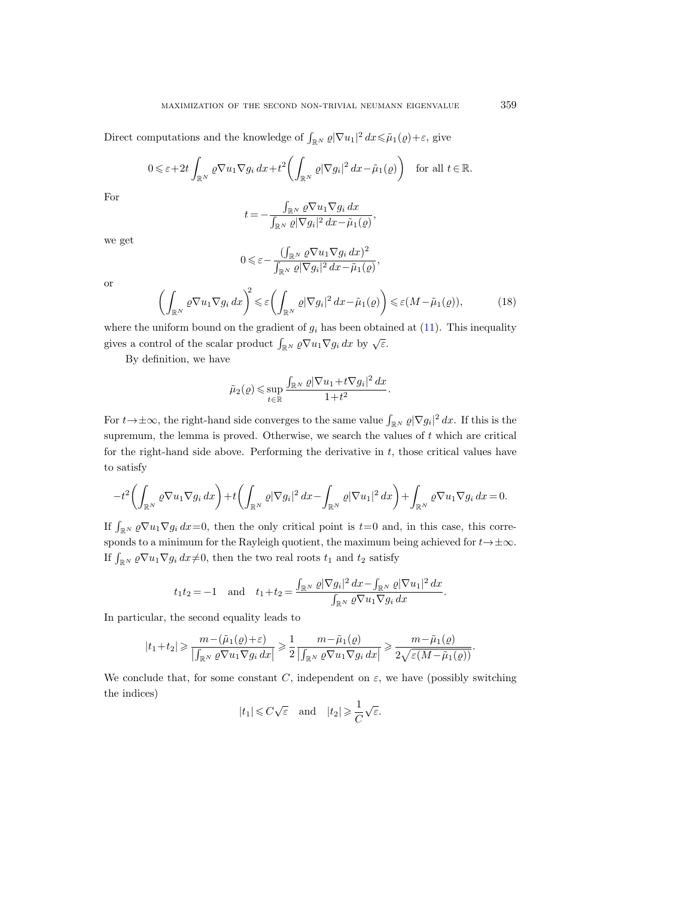Direct computations and the knowledge of  $\int_{\mathbb{R}^N} \varrho |\nabla u_1|^2 dx \leq \tilde{\mu}_1(\varrho) + \varepsilon$ , give

$$
0 \leqslant \varepsilon + 2t \int_{\mathbb{R}^N} \varrho \nabla u_1 \nabla g_i \, dx + t^2 \left( \int_{\mathbb{R}^N} \varrho |\nabla g_i|^2 \, dx - \tilde{\mu}_1(\varrho) \right) \quad \text{for all } t \in \mathbb{R}.
$$

For

$$
t=-\frac{\int_{\mathbb{R}^N}\varrho\nabla u_1\nabla g_i\,dx}{\int_{\mathbb{R}^N}\varrho|\nabla g_i|^2\,dx-\tilde\mu_1(\varrho)},
$$

we get

$$
0 \leqslant \varepsilon - \frac{\left(\int_{\mathbb{R}^N} \varrho \nabla u_1 \nabla g_i \, dx\right)^2}{\int_{\mathbb{R}^N} \varrho |\nabla g_i|^2 \, dx - \tilde{\mu}_1(\varrho)},
$$

or

$$
\left(\int_{\mathbb{R}^N} \varrho \nabla u_1 \nabla g_i \, dx\right)^2 \leqslant \varepsilon \left(\int_{\mathbb{R}^N} \varrho |\nabla g_i|^2 \, dx - \tilde{\mu}_1(\varrho)\right) \leqslant \varepsilon (M - \tilde{\mu}_1(\varrho)),\tag{18}
$$

.

where the uniform bound on the gradient of  $g_i$  has been obtained at [\(11\)](#page-7-0). This inequality gives a control of the scalar product  $\int_{\mathbb{R}^N} \varrho \nabla u_1 \nabla g_i dx$  by  $\sqrt{\varepsilon}$ .

By definition, we have

$$
\tilde{\mu}_2(\varrho)\leqslant \sup_{t\in\mathbb{R}}\frac{\int_{\mathbb{R}^N}\varrho|\nabla u_1+t\nabla g_i|^2\,dx}{1+t^2}
$$

For  $t\to\pm\infty$ , the right-hand side converges to the same value  $\int_{\mathbb{R}^N} \varrho |\nabla g_i|^2 dx$ . If this is the supremum, the lemma is proved. Otherwise, we search the values of  $t$  which are critical for the right-hand side above. Performing the derivative in  $t$ , those critical values have to satisfy

$$
-t^2\biggl(\int_{\mathbb{R}^N}\varrho\nabla u_1\nabla g_i\,dx\biggr)+t\biggl(\int_{\mathbb{R}^N}\varrho|\nabla g_i|^2\,dx-\int_{\mathbb{R}^N}\varrho|\nabla u_1|^2\,dx\biggr)+\int_{\mathbb{R}^N}\varrho\nabla u_1\nabla g_i\,dx=0.
$$

If  $\int_{\mathbb{R}^N} \varrho \nabla u_1 \nabla g_i dx = 0$ , then the only critical point is  $t=0$  and, in this case, this corresponds to a minimum for the Rayleigh quotient, the maximum being achieved for  $t \rightarrow \pm \infty$ . If  $\int_{\mathbb{R}^N} \varrho \nabla u_1 \nabla g_i dx \neq 0$ , then the two real roots  $t_1$  and  $t_2$  satisfy

$$
t_1 t_2 = -1
$$
 and  $t_1 + t_2 = \frac{\int_{\mathbb{R}^N} \varrho |\nabla g_i|^2 dx - \int_{\mathbb{R}^N} \varrho |\nabla u_1|^2 dx}{\int_{\mathbb{R}^N} \varrho \nabla u_1 \nabla g_i dx}.$ 

In particular, the second equality leads to

$$
|t_1+t_2| \geqslant \frac{m-(\tilde{\mu}_1(\varrho)+\varepsilon)}{\left|\int_{\mathbb{R}^N} \varrho \nabla u_1 \nabla g_i \, dx\right|} \geqslant \frac{1}{2} \frac{m-\tilde{\mu}_1(\varrho)}{\left|\int_{\mathbb{R}^N} \varrho \nabla u_1 \nabla g_i \, dx\right|} \geqslant \frac{m-\tilde{\mu}_1(\varrho)}{2\sqrt{\varepsilon(M-\tilde{\mu}_1(\varrho))}}.
$$

We conclude that, for some constant C, independent on  $\varepsilon$ , we have (possibly switching the indices)

$$
|t_1|\leqslant C\sqrt{\varepsilon}\quad\text{and}\quad |t_2|\geqslant \frac{1}{C}\sqrt{\varepsilon}.
$$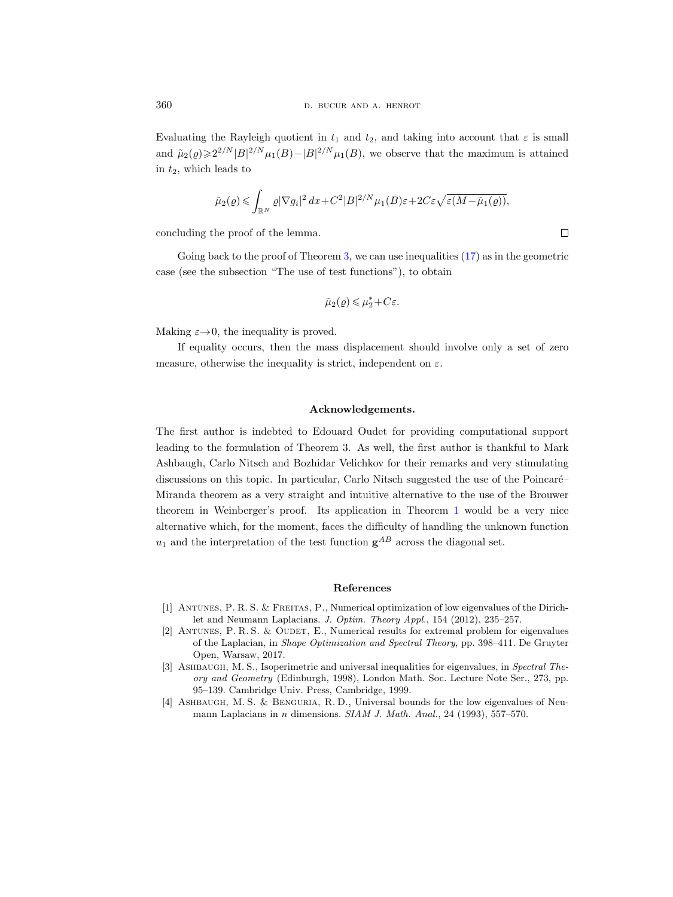Evaluating the Rayleigh quotient in  $t_1$  and  $t_2$ , and taking into account that  $\varepsilon$  is small and  $\tilde{\mu}_2(\varrho) \geq 2^{2/N} |B|^{2/N} \mu_1(B) - |B|^{2/N} \mu_1(B)$ , we observe that the maximum is attained in  $t_2$ , which leads to

$$
\tilde{\mu}_2(\varrho) \leq \int_{\mathbb{R}^N} \varrho |\nabla g_i|^2 \, dx + C^2 |B|^{2/N} \mu_1(B) \varepsilon + 2C \varepsilon \sqrt{\varepsilon (M - \tilde{\mu}_1(\varrho))},
$$

concluding the proof of the lemma.

Going back to the proof of Theorem [3,](#page-2-1) we can use inequalities [\(17\)](#page-21-1) as in the geometric case (see the subsection "The use of test functions"), to obtain

$$
\tilde{\mu}_2(\varrho) \leq \mu_2^* + C\varepsilon.
$$

Making  $\varepsilon \rightarrow 0$ , the inequality is proved.

If equality occurs, then the mass displacement should involve only a set of zero measure, otherwise the inequality is strict, independent on  $\varepsilon$ .

#### Acknowledgements.

The first author is indebted to Edouard Oudet for providing computational support leading to the formulation of Theorem 3. As well, the first author is thankful to Mark Ashbaugh, Carlo Nitsch and Bozhidar Velichkov for their remarks and very stimulating discussions on this topic. In particular, Carlo Nitsch suggested the use of the Poincaré– Miranda theorem as a very straight and intuitive alternative to the use of the Brouwer theorem in Weinberger's proof. Its application in Theorem [1](#page-2-0) would be a very nice alternative which, for the moment, faces the difficulty of handling the unknown function  $u_1$  and the interpretation of the test function  $\mathbf{g}^{AB}$  across the diagonal set.

#### References

- <span id="page-23-2"></span>[1] Antunes, P. R. S. & Freitas, P., Numerical optimization of low eigenvalues of the Dirichlet and Neumann Laplacians. J. Optim. Theory Appl., 154 (2012), 235–257.
- <span id="page-23-1"></span>[2] ANTUNES, P. R. S. & OUDET, E., Numerical results for extremal problem for eigenvalues of the Laplacian, in Shape Optimization and Spectral Theory, pp. 398–411. De Gruyter Open, Warsaw, 2017.
- <span id="page-23-0"></span>[3] ASHBAUGH, M. S., Isoperimetric and universal inequalities for eigenvalues, in Spectral Theory and Geometry (Edinburgh, 1998), London Math. Soc. Lecture Note Ser., 273, pp. 95–139. Cambridge Univ. Press, Cambridge, 1999.
- <span id="page-23-3"></span>[4] Ashbaugh, M. S. & Benguria, R. D., Universal bounds for the low eigenvalues of Neumann Laplacians in n dimensions. SIAM J. Math. Anal., 24 (1993), 557–570.

 $\Box$